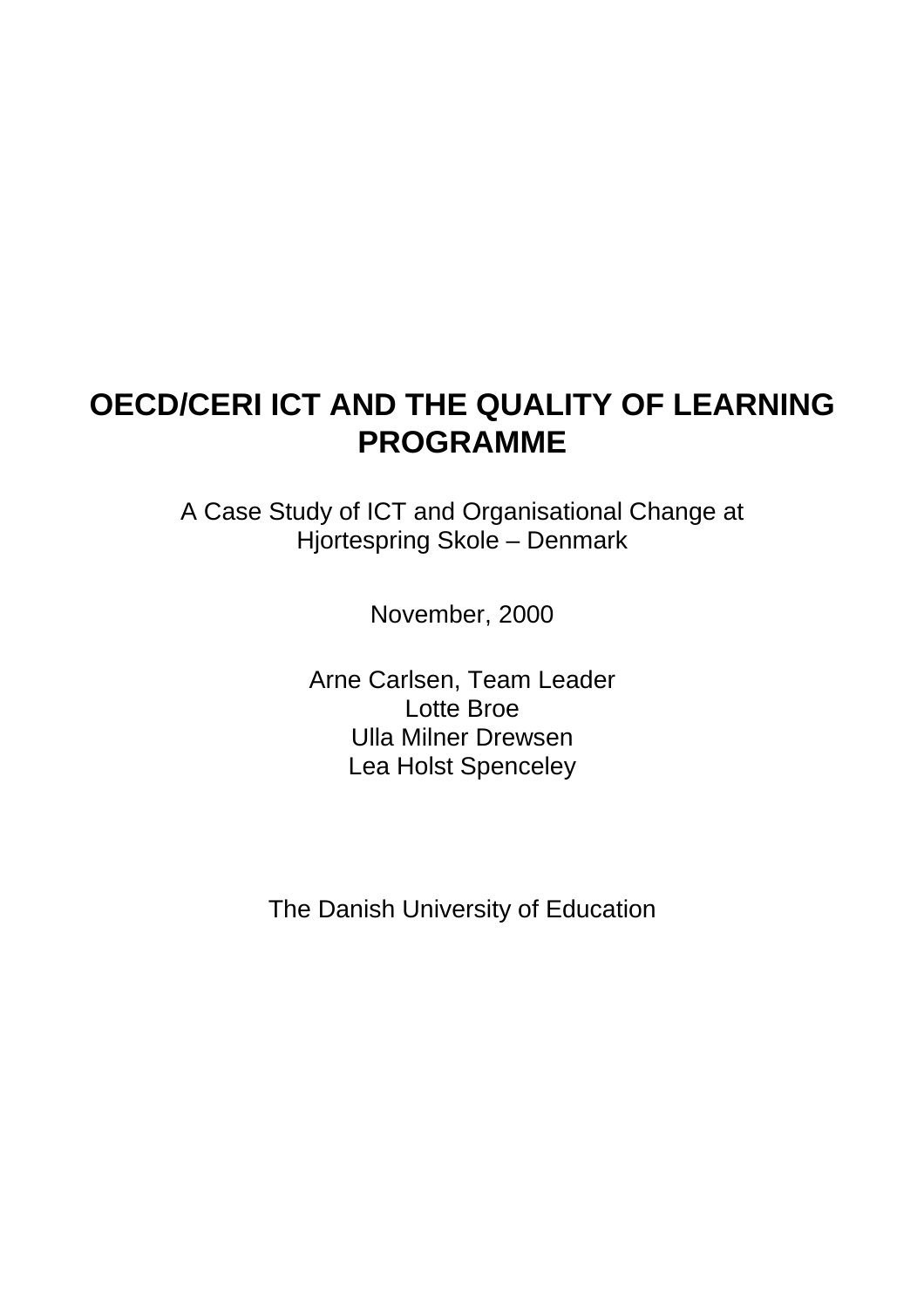## **OECD/CERI ICT AND THE QUALITY OF LEARNING PROGRAMME**

A Case Study of ICT and Organisational Change at Hjortespring Skole – Denmark

November, 2000

Arne Carlsen, Team Leader Lotte Broe Ulla Milner Drewsen Lea Holst Spenceley

The Danish University of Education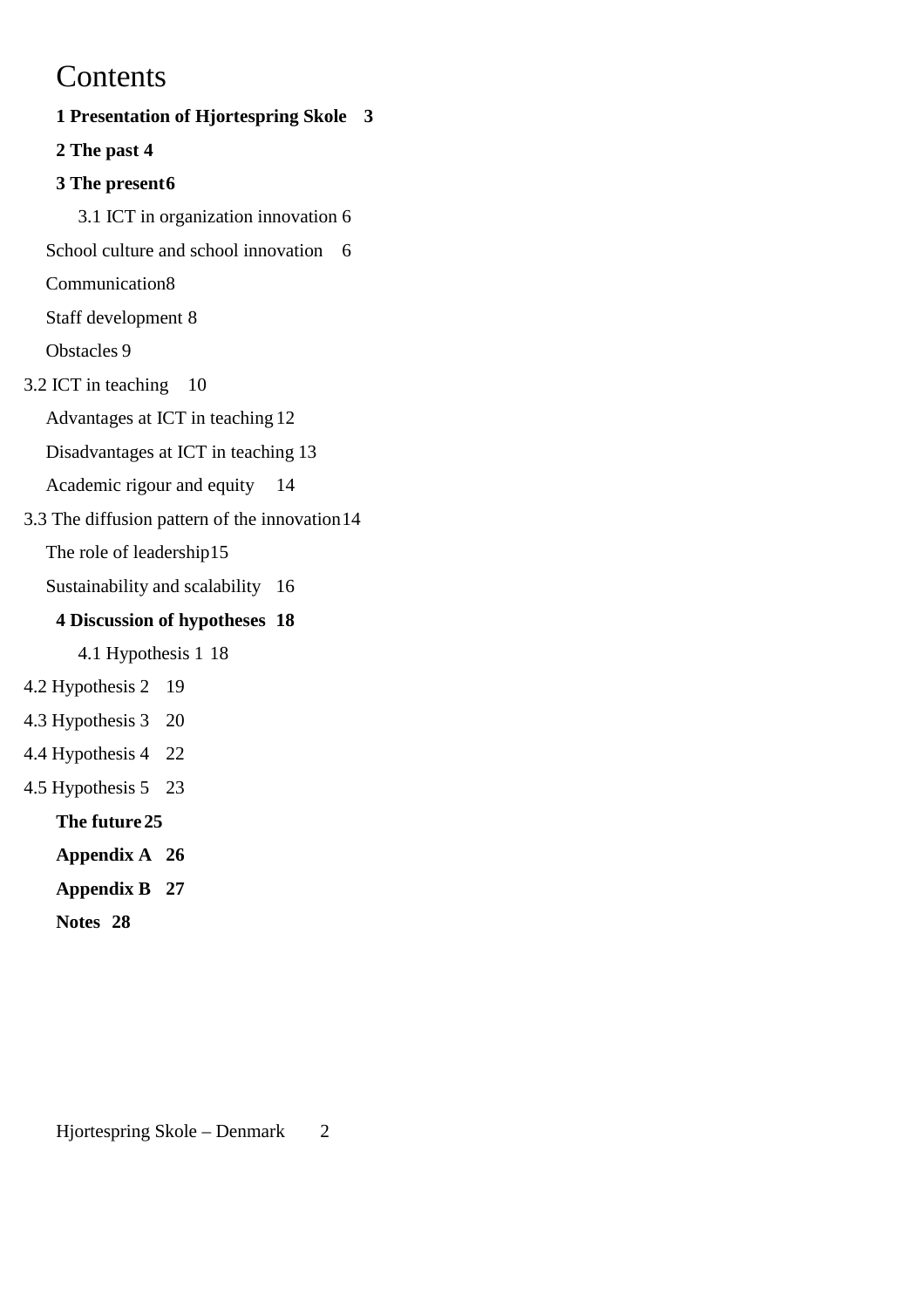## **Contents**

**1 Presentation of Hjortespring Skole 3 2 The past 4 3 The present6** 3.1 ICT in organization innovation 6 School culture and school innovation 6 Communication8 Staff development 8 Obstacles 9 3.2 ICT in teaching 10 Advantages at ICT in teaching 12 Disadvantages at ICT in teaching 13 Academic rigour and equity 14 3.3 The diffusion pattern of the innovation14 The role of leadership15 Sustainability and scalability 16 **4 Discussion of hypotheses 18** 4.1 Hypothesis 1 18 4.2 Hypothesis 2 19 4.3 Hypothesis 3 20 4.4 Hypothesis 4 22 4.5 Hypothesis 5 23 **The future 25 Appendix A 26 Appendix B 27 Notes 28**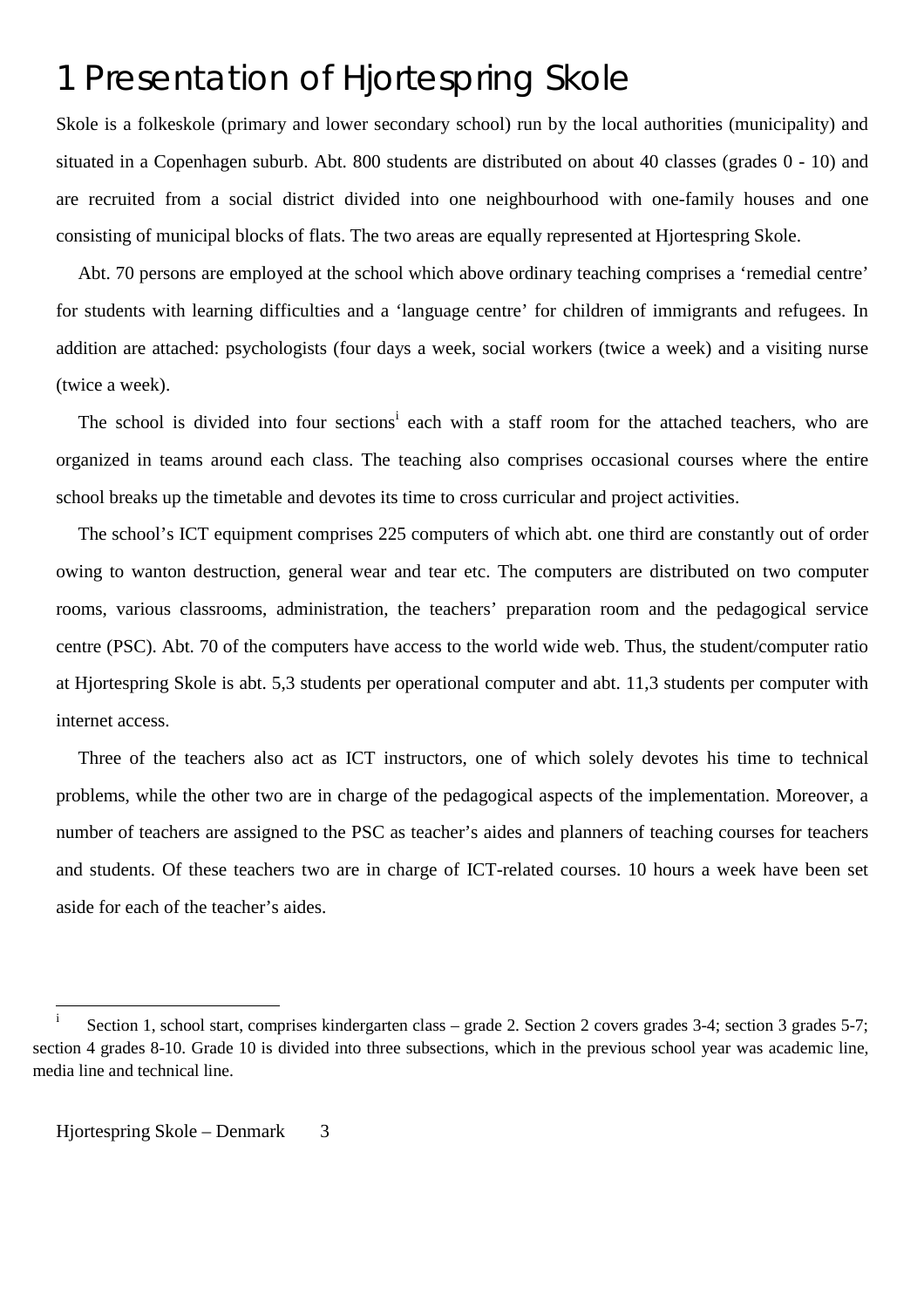## 1 Presentation of Hjortespring Skole

Skole is a folkeskole (primary and lower secondary school) run by the local authorities (municipality) and situated in a Copenhagen suburb. Abt. 800 students are distributed on about 40 classes (grades 0 - 10) and are recruited from a social district divided into one neighbourhood with one-family houses and one consisting of municipal blocks of flats. The two areas are equally represented at Hjortespring Skole.

Abt. 70 persons are employed at the school which above ordinary teaching comprises a 'remedial centre' for students with learning difficulties and a 'language centre' for children of immigrants and refugees. In addition are attached: psychologists (four days a week, social workers (twice a week) and a visiting nurse (twice a week).

The school is divided into four sections<sup>i</sup> each with a staff room for the attached teachers, who are organized in teams around each class. The teaching also comprises occasional courses where the entire school breaks up the timetable and devotes its time to cross curricular and project activities.

The school's ICT equipment comprises 225 computers of which abt. one third are constantly out of order owing to wanton destruction, general wear and tear etc. The computers are distributed on two computer rooms, various classrooms, administration, the teachers' preparation room and the pedagogical service centre (PSC). Abt. 70 of the computers have access to the world wide web. Thus, the student/computer ratio at Hjortespring Skole is abt. 5,3 students per operational computer and abt. 11,3 students per computer with internet access.

Three of the teachers also act as ICT instructors, one of which solely devotes his time to technical problems, while the other two are in charge of the pedagogical aspects of the implementation. Moreover, a number of teachers are assigned to the PSC as teacher's aides and planners of teaching courses for teachers and students. Of these teachers two are in charge of ICT-related courses. 10 hours a week have been set aside for each of the teacher's aides.

 $\mathbf{i}$ Section 1, school start, comprises kindergarten class – grade 2. Section 2 covers grades 3-4; section 3 grades 5-7; section 4 grades 8-10. Grade 10 is divided into three subsections, which in the previous school year was academic line, media line and technical line.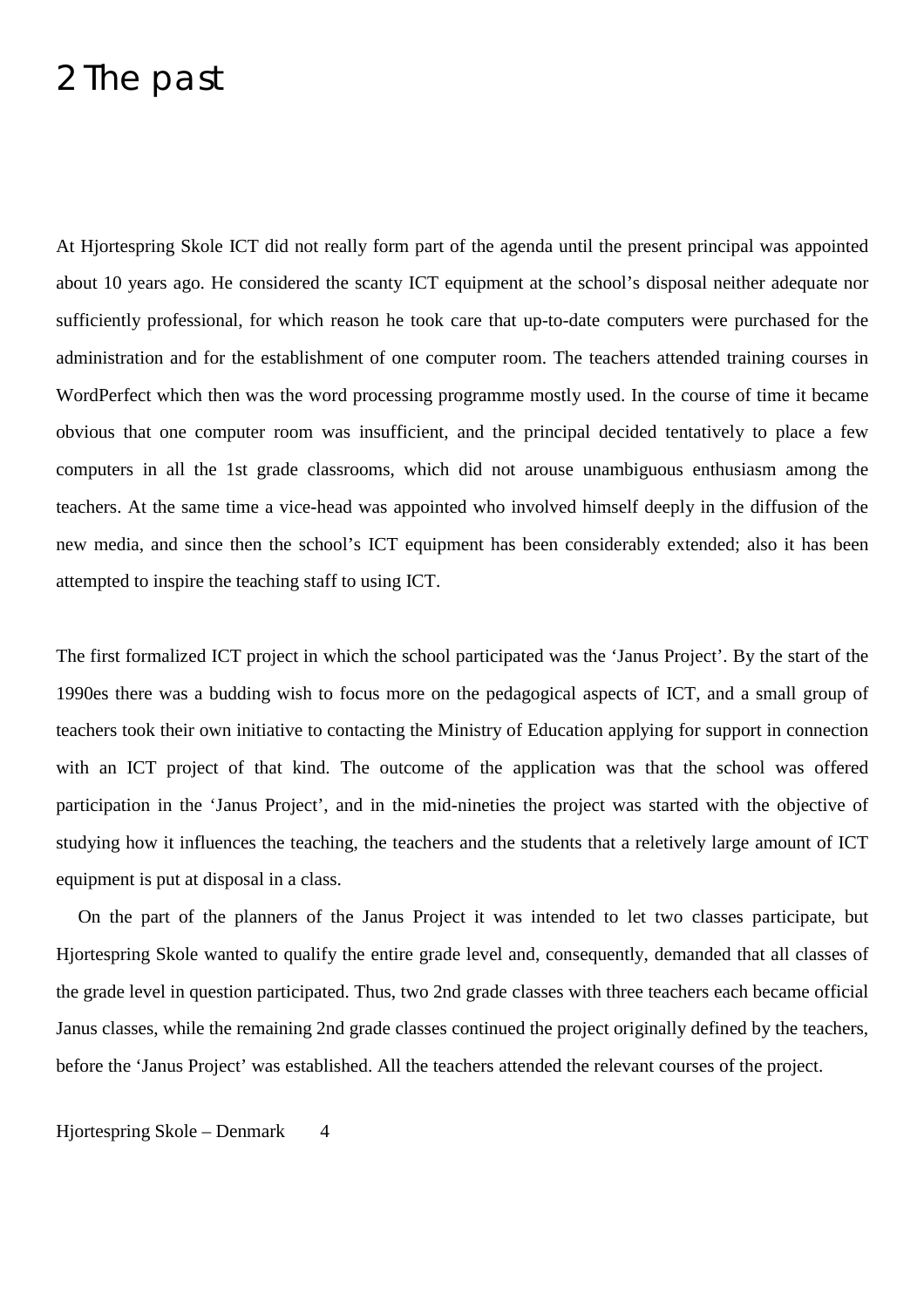## 2 The past

At Hjortespring Skole ICT did not really form part of the agenda until the present principal was appointed about 10 years ago. He considered the scanty ICT equipment at the school's disposal neither adequate nor sufficiently professional, for which reason he took care that up-to-date computers were purchased for the administration and for the establishment of one computer room. The teachers attended training courses in WordPerfect which then was the word processing programme mostly used. In the course of time it became obvious that one computer room was insufficient, and the principal decided tentatively to place a few computers in all the 1st grade classrooms, which did not arouse unambiguous enthusiasm among the teachers. At the same time a vice-head was appointed who involved himself deeply in the diffusion of the new media, and since then the school's ICT equipment has been considerably extended; also it has been attempted to inspire the teaching staff to using ICT.

The first formalized ICT project in which the school participated was the 'Janus Project'. By the start of the 1990es there was a budding wish to focus more on the pedagogical aspects of ICT, and a small group of teachers took their own initiative to contacting the Ministry of Education applying for support in connection with an ICT project of that kind. The outcome of the application was that the school was offered participation in the 'Janus Project', and in the mid-nineties the project was started with the objective of studying how it influences the teaching, the teachers and the students that a reletively large amount of ICT equipment is put at disposal in a class.

On the part of the planners of the Janus Project it was intended to let two classes participate, but Hjortespring Skole wanted to qualify the entire grade level and, consequently, demanded that all classes of the grade level in question participated. Thus, two 2nd grade classes with three teachers each became official Janus classes, while the remaining 2nd grade classes continued the project originally defined by the teachers, before the 'Janus Project' was established. All the teachers attended the relevant courses of the project.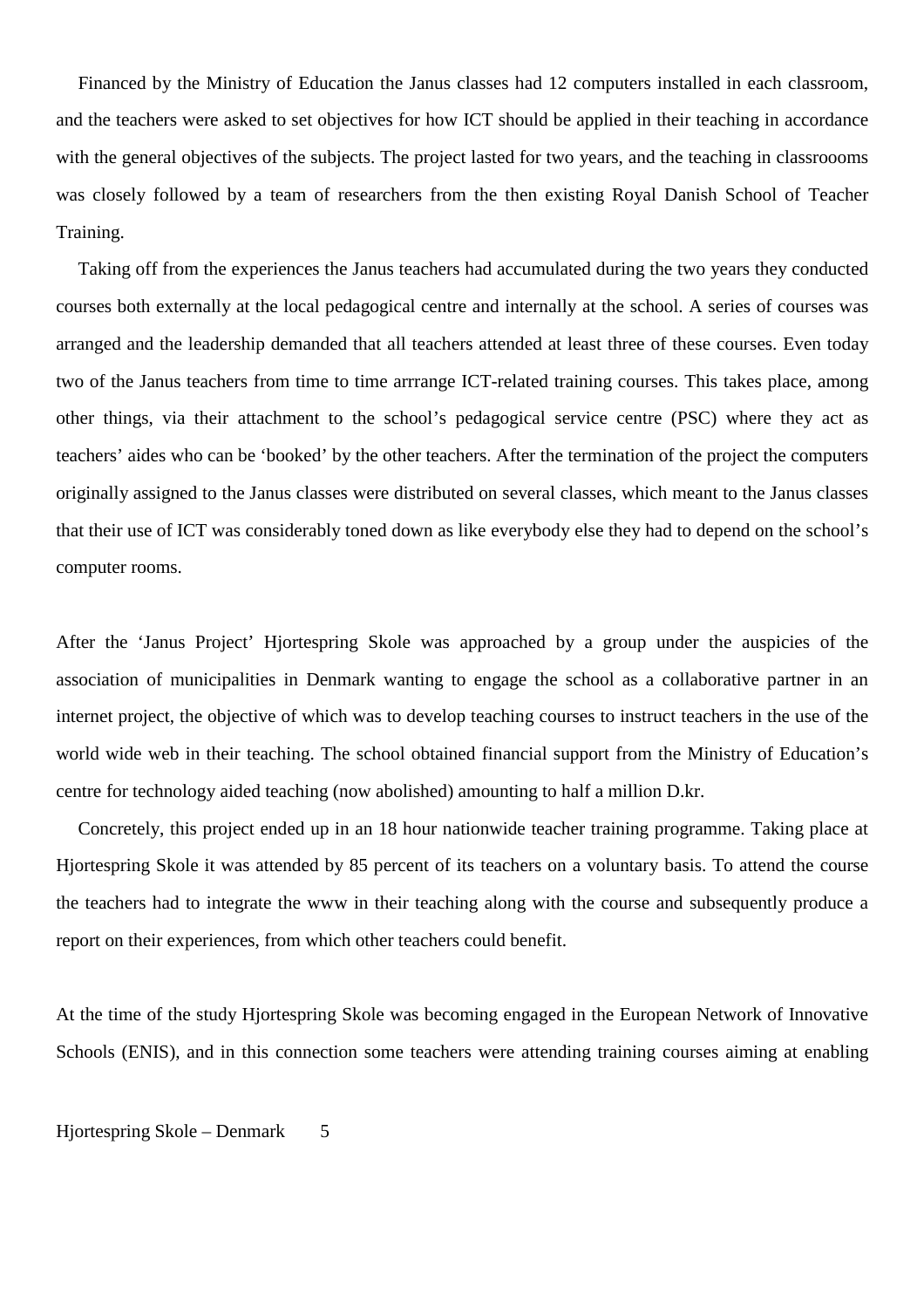Financed by the Ministry of Education the Janus classes had 12 computers installed in each classroom, and the teachers were asked to set objectives for how ICT should be applied in their teaching in accordance with the general objectives of the subjects. The project lasted for two years, and the teaching in classroooms was closely followed by a team of researchers from the then existing Royal Danish School of Teacher Training.

Taking off from the experiences the Janus teachers had accumulated during the two years they conducted courses both externally at the local pedagogical centre and internally at the school. A series of courses was arranged and the leadership demanded that all teachers attended at least three of these courses. Even today two of the Janus teachers from time to time arrrange ICT-related training courses. This takes place, among other things, via their attachment to the school's pedagogical service centre (PSC) where they act as teachers' aides who can be 'booked' by the other teachers. After the termination of the project the computers originally assigned to the Janus classes were distributed on several classes, which meant to the Janus classes that their use of ICT was considerably toned down as like everybody else they had to depend on the school's computer rooms.

After the 'Janus Project' Hjortespring Skole was approached by a group under the auspicies of the association of municipalities in Denmark wanting to engage the school as a collaborative partner in an internet project, the objective of which was to develop teaching courses to instruct teachers in the use of the world wide web in their teaching. The school obtained financial support from the Ministry of Education's centre for technology aided teaching (now abolished) amounting to half a million D.kr.

Concretely, this project ended up in an 18 hour nationwide teacher training programme. Taking place at Hjortespring Skole it was attended by 85 percent of its teachers on a voluntary basis. To attend the course the teachers had to integrate the www in their teaching along with the course and subsequently produce a report on their experiences, from which other teachers could benefit.

At the time of the study Hjortespring Skole was becoming engaged in the European Network of Innovative Schools (ENIS), and in this connection some teachers were attending training courses aiming at enabling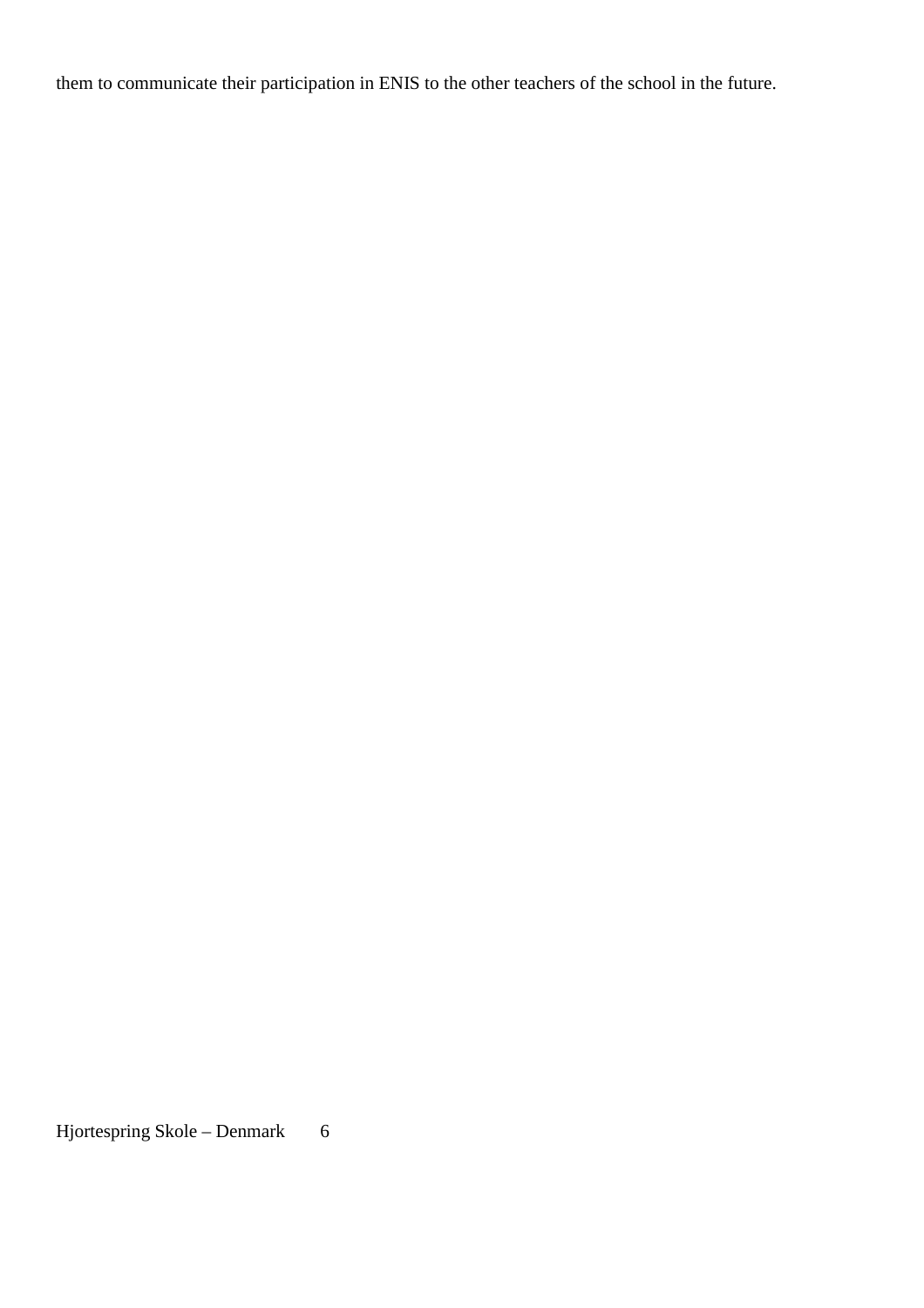them to communicate their participation in ENIS to the other teachers of the school in the future.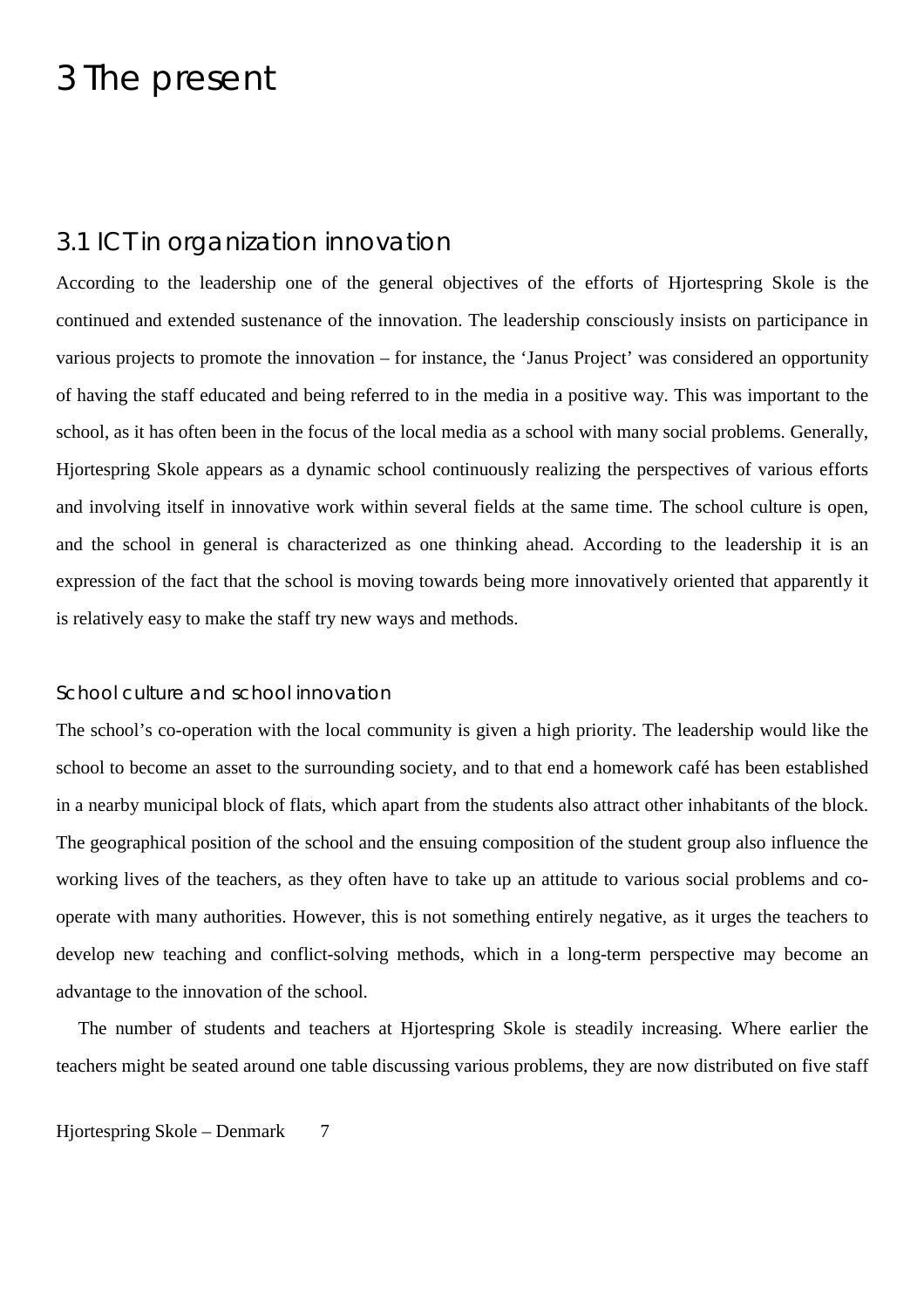## 3 The present

## 3.1 ICT in organization innovation

According to the leadership one of the general objectives of the efforts of Hjortespring Skole is the continued and extended sustenance of the innovation. The leadership consciously insists on participance in various projects to promote the innovation – for instance, the 'Janus Project' was considered an opportunity of having the staff educated and being referred to in the media in a positive way. This was important to the school, as it has often been in the focus of the local media as a school with many social problems. Generally, Hjortespring Skole appears as a dynamic school continuously realizing the perspectives of various efforts and involving itself in innovative work within several fields at the same time. The school culture is open, and the school in general is characterized as one thinking ahead. According to the leadership it is an expression of the fact that the school is moving towards being more innovatively oriented that apparently it is relatively easy to make the staff try new ways and methods.

### School culture and school innovation

The school's co-operation with the local community is given a high priority. The leadership would like the school to become an asset to the surrounding society, and to that end a homework café has been established in a nearby municipal block of flats, which apart from the students also attract other inhabitants of the block. The geographical position of the school and the ensuing composition of the student group also influence the working lives of the teachers, as they often have to take up an attitude to various social problems and cooperate with many authorities. However, this is not something entirely negative, as it urges the teachers to develop new teaching and conflict-solving methods, which in a long-term perspective may become an advantage to the innovation of the school.

The number of students and teachers at Hjortespring Skole is steadily increasing. Where earlier the teachers might be seated around one table discussing various problems, they are now distributed on five staff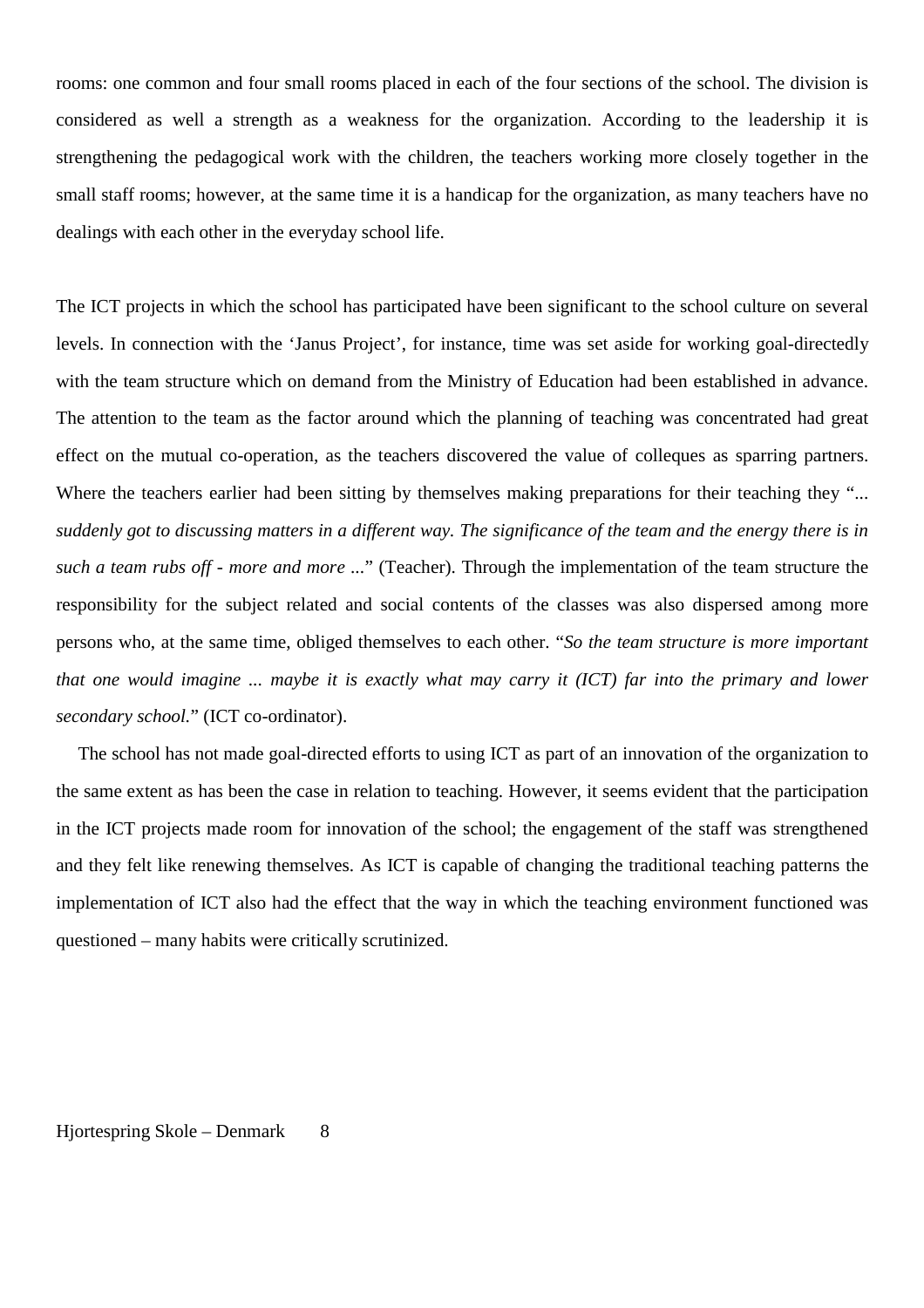rooms: one common and four small rooms placed in each of the four sections of the school. The division is considered as well a strength as a weakness for the organization. According to the leadership it is strengthening the pedagogical work with the children, the teachers working more closely together in the small staff rooms; however, at the same time it is a handicap for the organization, as many teachers have no dealings with each other in the everyday school life.

The ICT projects in which the school has participated have been significant to the school culture on several levels. In connection with the 'Janus Project', for instance, time was set aside for working goal-directedly with the team structure which on demand from the Ministry of Education had been established in advance. The attention to the team as the factor around which the planning of teaching was concentrated had great effect on the mutual co-operation, as the teachers discovered the value of colleques as sparring partners. Where the teachers earlier had been sitting by themselves making preparations for their teaching they "... *suddenly got to discussing matters in a different way. The significance of the team and the energy there is in such a team rubs off - more and more ...*" (Teacher). Through the implementation of the team structure the responsibility for the subject related and social contents of the classes was also dispersed among more persons who, at the same time, obliged themselves to each other. "*So the team structure is more important that one would imagine ... maybe it is exactly what may carry it (ICT) far into the primary and lower secondary school.*" (ICT co-ordinator).

The school has not made goal-directed efforts to using ICT as part of an innovation of the organization to the same extent as has been the case in relation to teaching. However, it seems evident that the participation in the ICT projects made room for innovation of the school; the engagement of the staff was strengthened and they felt like renewing themselves. As ICT is capable of changing the traditional teaching patterns the implementation of ICT also had the effect that the way in which the teaching environment functioned was questioned – many habits were critically scrutinized.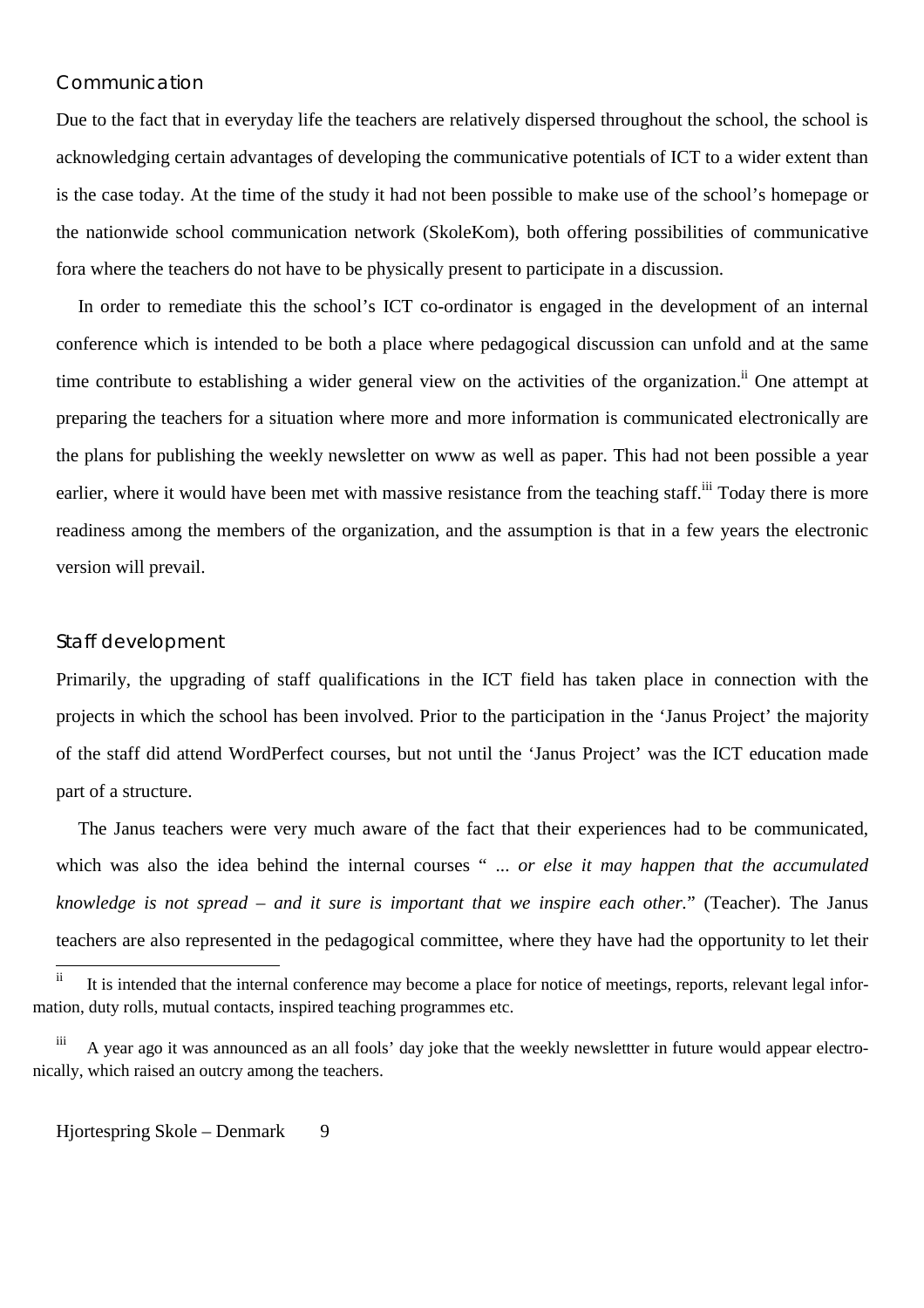### Communication

Due to the fact that in everyday life the teachers are relatively dispersed throughout the school, the school is acknowledging certain advantages of developing the communicative potentials of ICT to a wider extent than is the case today. At the time of the study it had not been possible to make use of the school's homepage or the nationwide school communication network (SkoleKom), both offering possibilities of communicative fora where the teachers do not have to be physically present to participate in a discussion.

In order to remediate this the school's ICT co-ordinator is engaged in the development of an internal conference which is intended to be both a place where pedagogical discussion can unfold and at the same time contribute to establishing a wider general view on the activities of the organization.<sup>ii</sup> One attempt at preparing the teachers for a situation where more and more information is communicated electronically are the plans for publishing the weekly newsletter on www as well as paper. This had not been possible a year earlier, where it would have been met with massive resistance from the teaching staff.<sup>iii</sup> Today there is more readiness among the members of the organization, and the assumption is that in a few years the electronic version will prevail.

#### Staff development

Primarily, the upgrading of staff qualifications in the ICT field has taken place in connection with the projects in which the school has been involved. Prior to the participation in the 'Janus Project' the majority of the staff did attend WordPerfect courses, but not until the 'Janus Project' was the ICT education made part of a structure.

The Janus teachers were very much aware of the fact that their experiences had to be communicated, which was also the idea behind the internal courses " ... *or else it may happen that the accumulated knowledge is not spread – and it sure is important that we inspire each other.*" (Teacher). The Janus teachers are also represented in the pedagogical committee, where they have had the opportunity to let their

 $\mathbf{ii}$ It is intended that the internal conference may become a place for notice of meetings, reports, relevant legal information, duty rolls, mutual contacts, inspired teaching programmes etc.

iii A year ago it was announced as an all fools' day joke that the weekly newslettter in future would appear electronically, which raised an outcry among the teachers.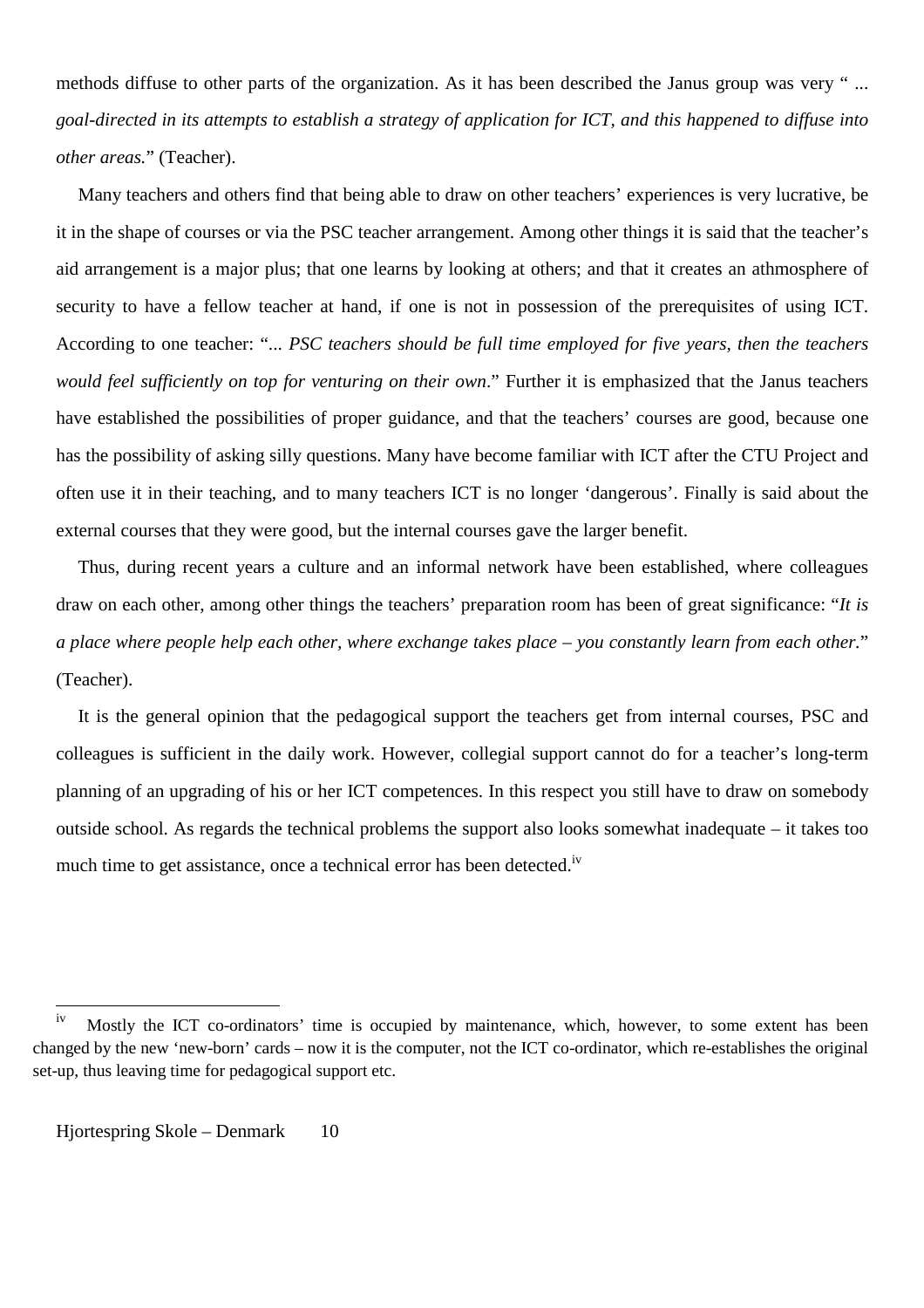methods diffuse to other parts of the organization. As it has been described the Janus group was very " ... *goal-directed in its attempts to establish a strategy of application for ICT, and this happened to diffuse into other areas.*" (Teacher).

Many teachers and others find that being able to draw on other teachers' experiences is very lucrative, be it in the shape of courses or via the PSC teacher arrangement. Among other things it is said that the teacher's aid arrangement is a major plus; that one learns by looking at others; and that it creates an athmosphere of security to have a fellow teacher at hand, if one is not in possession of the prerequisites of using ICT. According to one teacher: "... *PSC teachers should be full time employed for five years, then the teachers would feel sufficiently on top for venturing on their own*." Further it is emphasized that the Janus teachers have established the possibilities of proper guidance, and that the teachers' courses are good, because one has the possibility of asking silly questions. Many have become familiar with ICT after the CTU Project and often use it in their teaching, and to many teachers ICT is no longer 'dangerous'. Finally is said about the external courses that they were good, but the internal courses gave the larger benefit.

Thus, during recent years a culture and an informal network have been established, where colleagues draw on each other, among other things the teachers' preparation room has been of great significance: "*It is a place where people help each other, where exchange takes place – you constantly learn from each other.*" (Teacher).

It is the general opinion that the pedagogical support the teachers get from internal courses, PSC and colleagues is sufficient in the daily work. However, collegial support cannot do for a teacher's long-term planning of an upgrading of his or her ICT competences. In this respect you still have to draw on somebody outside school. As regards the technical problems the support also looks somewhat inadequate – it takes too much time to get assistance, once a technical error has been detected.<sup>iv</sup>

 $iv$ Mostly the ICT co-ordinators' time is occupied by maintenance, which, however, to some extent has been changed by the new 'new-born' cards – now it is the computer, not the ICT co-ordinator, which re-establishes the original set-up, thus leaving time for pedagogical support etc.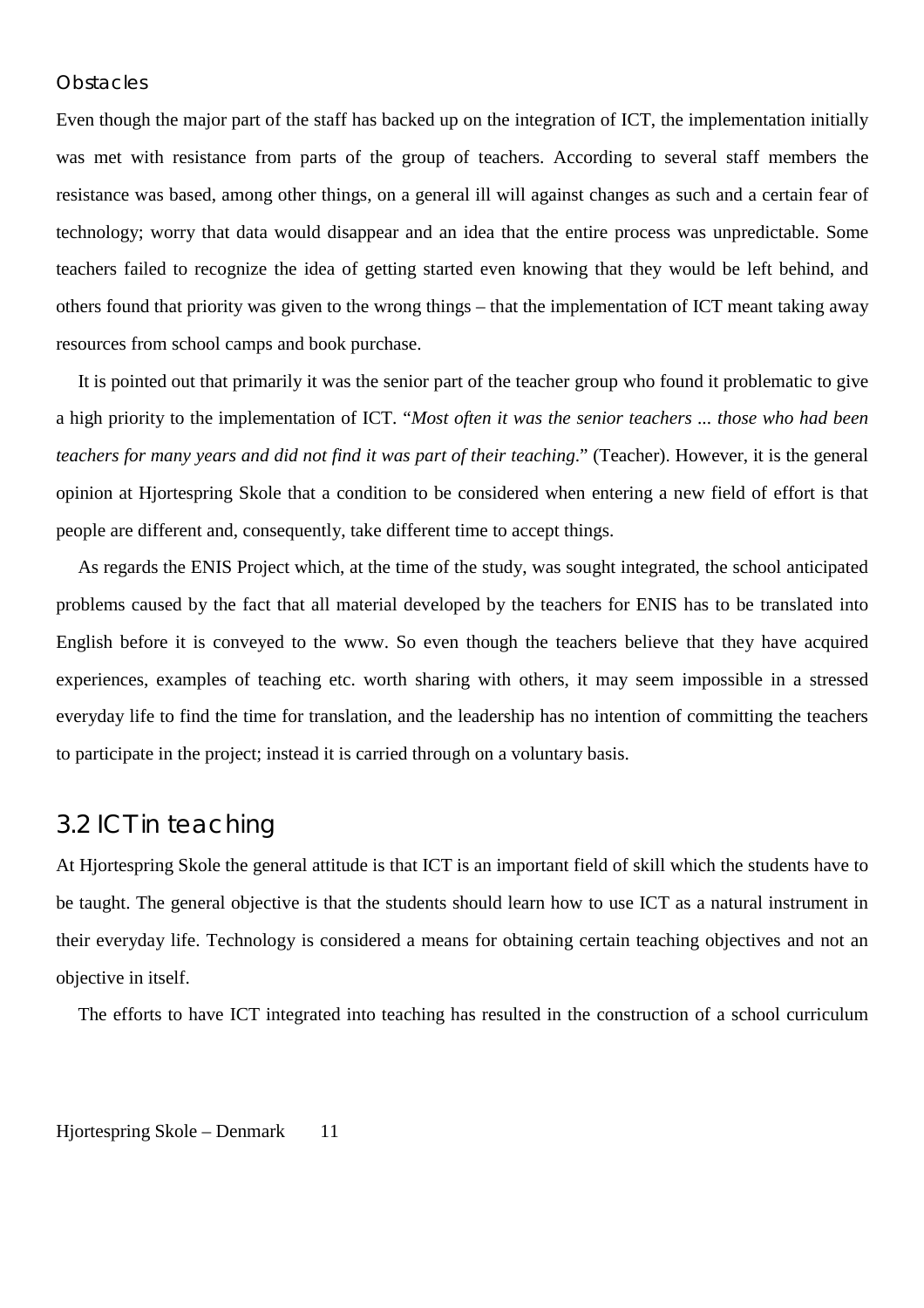### **Obstacles**

Even though the major part of the staff has backed up on the integration of ICT, the implementation initially was met with resistance from parts of the group of teachers. According to several staff members the resistance was based, among other things, on a general ill will against changes as such and a certain fear of technology; worry that data would disappear and an idea that the entire process was unpredictable. Some teachers failed to recognize the idea of getting started even knowing that they would be left behind, and others found that priority was given to the wrong things – that the implementation of ICT meant taking away resources from school camps and book purchase.

It is pointed out that primarily it was the senior part of the teacher group who found it problematic to give a high priority to the implementation of ICT. "*Most often it was the senior teachers ... those who had been teachers for many years and did not find it was part of their teaching*." (Teacher). However, it is the general opinion at Hjortespring Skole that a condition to be considered when entering a new field of effort is that people are different and, consequently, take different time to accept things.

As regards the ENIS Project which, at the time of the study, was sought integrated, the school anticipated problems caused by the fact that all material developed by the teachers for ENIS has to be translated into English before it is conveyed to the www. So even though the teachers believe that they have acquired experiences, examples of teaching etc. worth sharing with others, it may seem impossible in a stressed everyday life to find the time for translation, and the leadership has no intention of committing the teachers to participate in the project; instead it is carried through on a voluntary basis.

## 3.2 ICT in teaching

At Hjortespring Skole the general attitude is that ICT is an important field of skill which the students have to be taught. The general objective is that the students should learn how to use ICT as a natural instrument in their everyday life. Technology is considered a means for obtaining certain teaching objectives and not an objective in itself.

The efforts to have ICT integrated into teaching has resulted in the construction of a school curriculum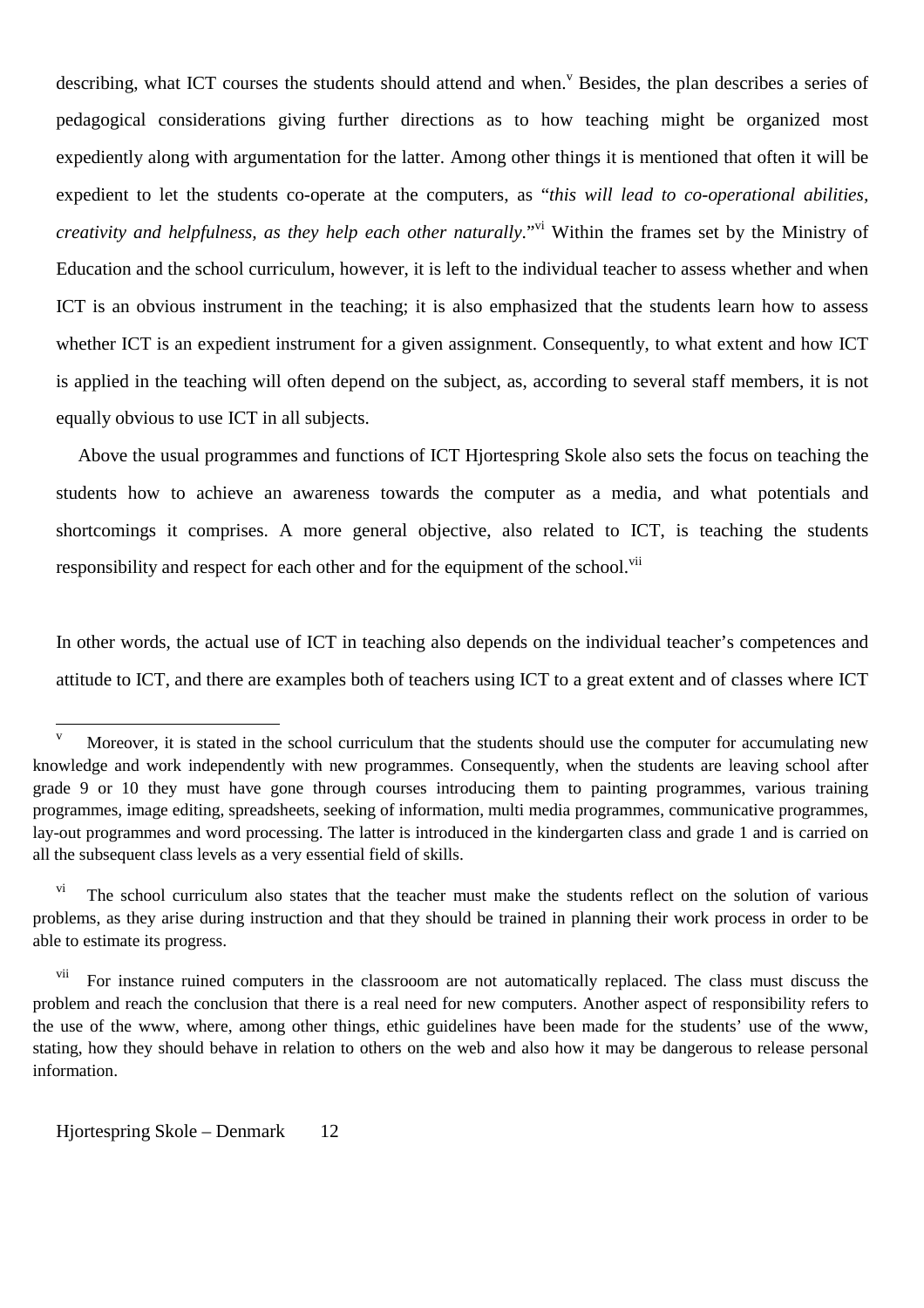describing, what ICT courses the students should attend and when.<sup>V</sup> Besides, the plan describes a series of pedagogical considerations giving further directions as to how teaching might be organized most expediently along with argumentation for the latter. Among other things it is mentioned that often it will be expedient to let the students co-operate at the computers, as "*this will lead to co-operational abilities, creativity and helpfulness, as they help each other naturally.*"<sup>vi</sup> Within the frames set by the Ministry of Education and the school curriculum, however, it is left to the individual teacher to assess whether and when ICT is an obvious instrument in the teaching; it is also emphasized that the students learn how to assess whether ICT is an expedient instrument for a given assignment. Consequently, to what extent and how ICT is applied in the teaching will often depend on the subject, as, according to several staff members, it is not equally obvious to use ICT in all subjects.

Above the usual programmes and functions of ICT Hjortespring Skole also sets the focus on teaching the students how to achieve an awareness towards the computer as a media, and what potentials and shortcomings it comprises. A more general objective, also related to ICT, is teaching the students responsibility and respect for each other and for the equipment of the school.<sup>vii</sup>

In other words, the actual use of ICT in teaching also depends on the individual teacher's competences and attitude to ICT, and there are examples both of teachers using ICT to a great extent and of classes where ICT

 $\overline{\mathbf{v}}$ Moreover, it is stated in the school curriculum that the students should use the computer for accumulating new knowledge and work independently with new programmes. Consequently, when the students are leaving school after grade 9 or 10 they must have gone through courses introducing them to painting programmes, various training programmes, image editing, spreadsheets, seeking of information, multi media programmes, communicative programmes, lay-out programmes and word processing. The latter is introduced in the kindergarten class and grade 1 and is carried on all the subsequent class levels as a very essential field of skills.

<sup>&</sup>lt;sup>vi</sup> The school curriculum also states that the teacher must make the students reflect on the solution of various problems, as they arise during instruction and that they should be trained in planning their work process in order to be able to estimate its progress.

For instance ruined computers in the classrooom are not automatically replaced. The class must discuss the problem and reach the conclusion that there is a real need for new computers. Another aspect of responsibility refers to the use of the www, where, among other things, ethic guidelines have been made for the students' use of the www, stating, how they should behave in relation to others on the web and also how it may be dangerous to release personal information.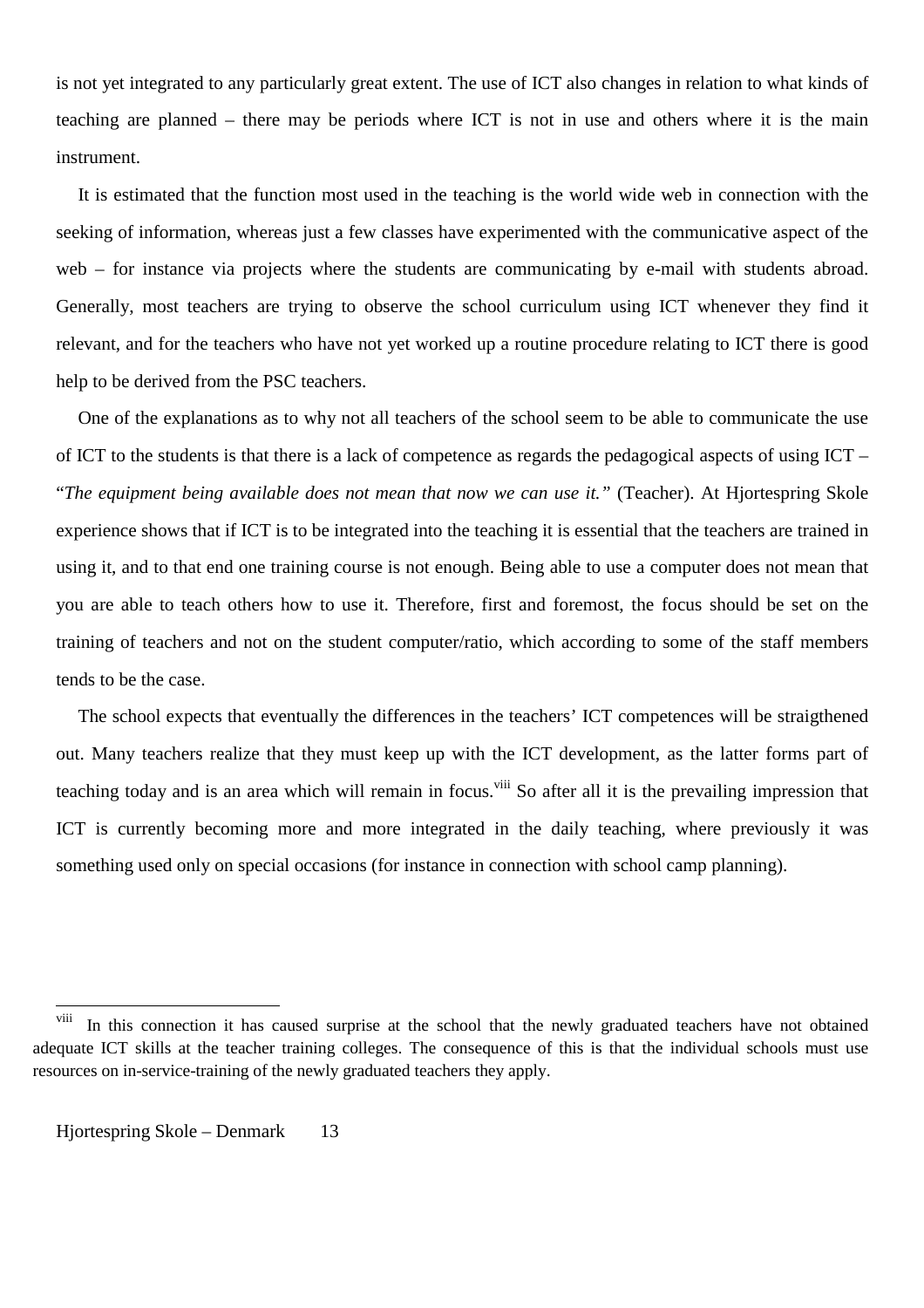is not yet integrated to any particularly great extent. The use of ICT also changes in relation to what kinds of teaching are planned – there may be periods where ICT is not in use and others where it is the main instrument.

It is estimated that the function most used in the teaching is the world wide web in connection with the seeking of information, whereas just a few classes have experimented with the communicative aspect of the web – for instance via projects where the students are communicating by e-mail with students abroad. Generally, most teachers are trying to observe the school curriculum using ICT whenever they find it relevant, and for the teachers who have not yet worked up a routine procedure relating to ICT there is good help to be derived from the PSC teachers.

One of the explanations as to why not all teachers of the school seem to be able to communicate the use of ICT to the students is that there is a lack of competence as regards the pedagogical aspects of using ICT – "*The equipment being available does not mean that now we can use it."* (Teacher). At Hjortespring Skole experience shows that if ICT is to be integrated into the teaching it is essential that the teachers are trained in using it, and to that end one training course is not enough. Being able to use a computer does not mean that you are able to teach others how to use it. Therefore, first and foremost, the focus should be set on the training of teachers and not on the student computer/ratio, which according to some of the staff members tends to be the case.

The school expects that eventually the differences in the teachers' ICT competences will be straigthened out. Many teachers realize that they must keep up with the ICT development, as the latter forms part of teaching today and is an area which will remain in focus.<sup>viii</sup> So after all it is the prevailing impression that ICT is currently becoming more and more integrated in the daily teaching, where previously it was something used only on special occasions (for instance in connection with school camp planning).

 $\overline{a}$ 

<sup>&</sup>lt;sup>viii</sup> In this connection it has caused surprise at the school that the newly graduated teachers have not obtained adequate ICT skills at the teacher training colleges. The consequence of this is that the individual schools must use resources on in-service-training of the newly graduated teachers they apply.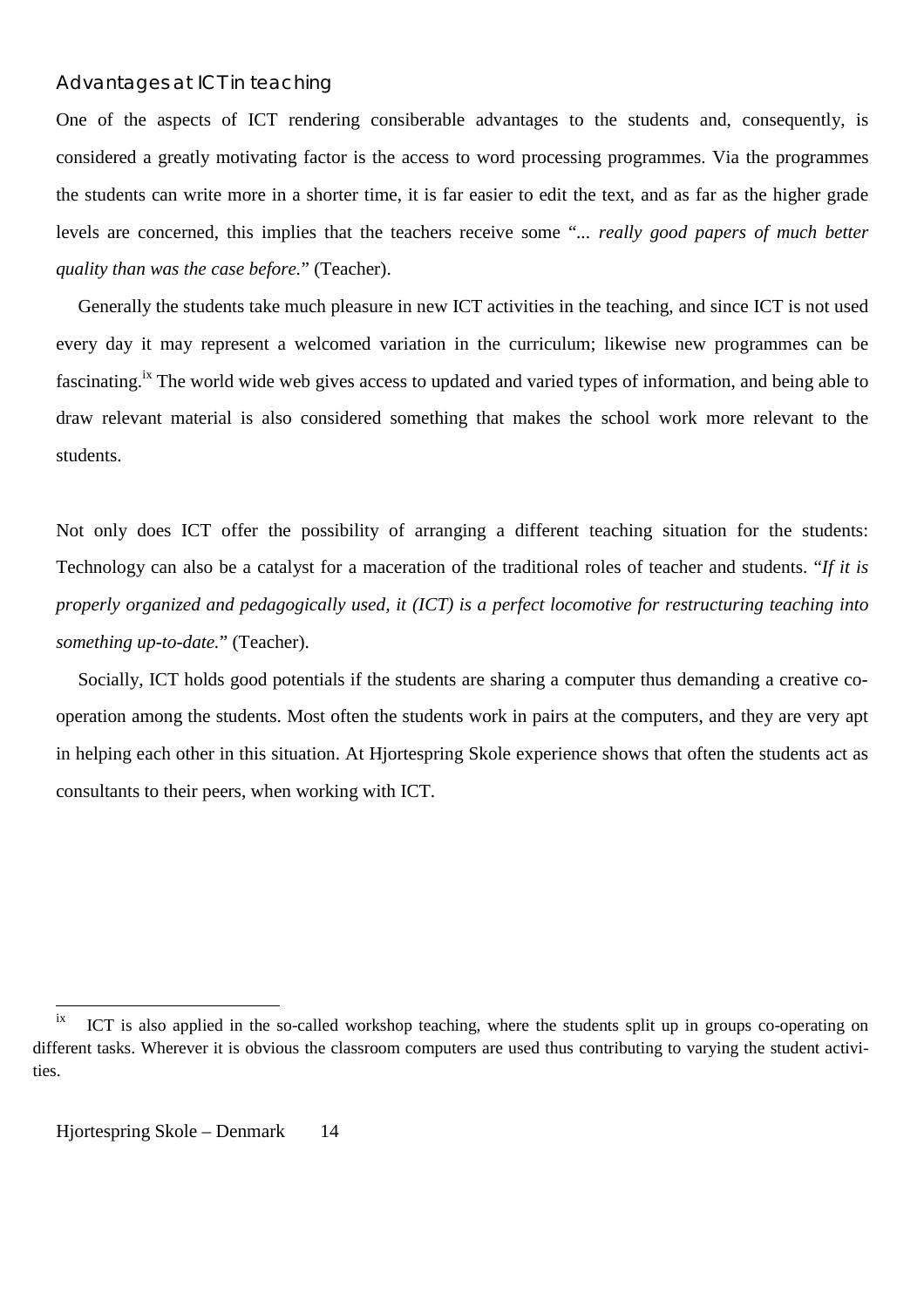### Advantages at ICT in teaching

One of the aspects of ICT rendering consiberable advantages to the students and, consequently, is considered a greatly motivating factor is the access to word processing programmes. Via the programmes the students can write more in a shorter time, it is far easier to edit the text, and as far as the higher grade levels are concerned, this implies that the teachers receive some "*... really good papers of much better quality than was the case before.*" (Teacher).

Generally the students take much pleasure in new ICT activities in the teaching, and since ICT is not used every day it may represent a welcomed variation in the curriculum; likewise new programmes can be fascinating.<sup>ix</sup> The world wide web gives access to updated and varied types of information, and being able to draw relevant material is also considered something that makes the school work more relevant to the students.

Not only does ICT offer the possibility of arranging a different teaching situation for the students: Technology can also be a catalyst for a maceration of the traditional roles of teacher and students. "*If it is properly organized and pedagogically used, it (ICT) is a perfect locomotive for restructuring teaching into something up-to-date.*" (Teacher).

Socially, ICT holds good potentials if the students are sharing a computer thus demanding a creative cooperation among the students. Most often the students work in pairs at the computers, and they are very apt in helping each other in this situation. At Hjortespring Skole experience shows that often the students act as consultants to their peers, when working with ICT.

 $ix$ ICT is also applied in the so-called workshop teaching, where the students split up in groups co-operating on different tasks. Wherever it is obvious the classroom computers are used thus contributing to varying the student activities.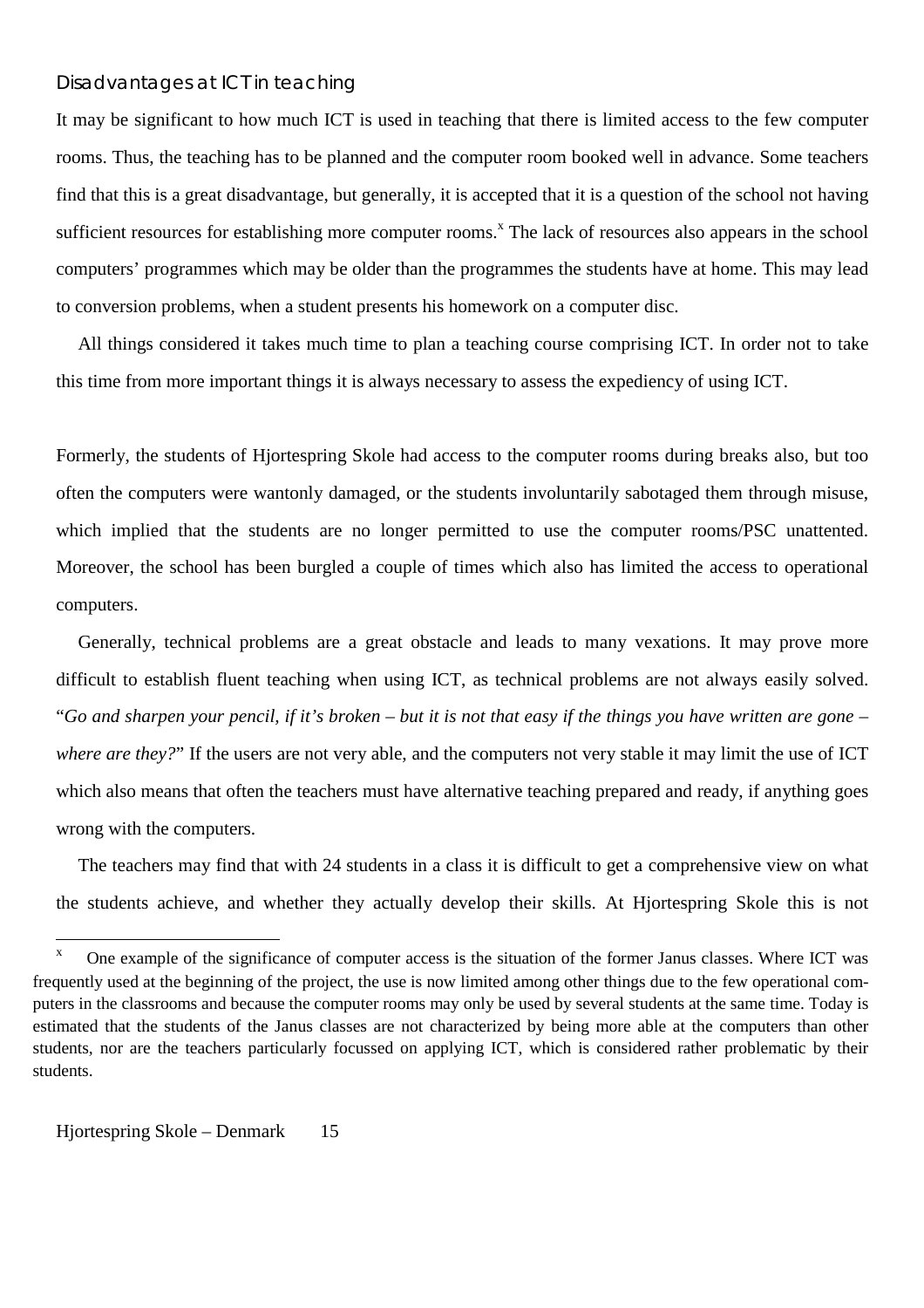### Disadvantages at ICT in teaching

It may be significant to how much ICT is used in teaching that there is limited access to the few computer rooms. Thus, the teaching has to be planned and the computer room booked well in advance. Some teachers find that this is a great disadvantage, but generally, it is accepted that it is a question of the school not having sufficient resources for establishing more computer rooms.<sup>x</sup> The lack of resources also appears in the school computers' programmes which may be older than the programmes the students have at home. This may lead to conversion problems, when a student presents his homework on a computer disc.

All things considered it takes much time to plan a teaching course comprising ICT. In order not to take this time from more important things it is always necessary to assess the expediency of using ICT.

Formerly, the students of Hjortespring Skole had access to the computer rooms during breaks also, but too often the computers were wantonly damaged, or the students involuntarily sabotaged them through misuse, which implied that the students are no longer permitted to use the computer rooms/PSC unattented. Moreover, the school has been burgled a couple of times which also has limited the access to operational computers.

Generally, technical problems are a great obstacle and leads to many vexations. It may prove more difficult to establish fluent teaching when using ICT, as technical problems are not always easily solved. "*Go and sharpen your pencil, if it's broken – but it is not that easy if the things you have written are gone – where are they?*" If the users are not very able, and the computers not very stable it may limit the use of ICT which also means that often the teachers must have alternative teaching prepared and ready, if anything goes wrong with the computers.

The teachers may find that with 24 students in a class it is difficult to get a comprehensive view on what the students achieve, and whether they actually develop their skills. At Hjortespring Skole this is not

 $\overline{a}$ 

 $x^2$  One example of the significance of computer access is the situation of the former Janus classes. Where ICT was frequently used at the beginning of the project, the use is now limited among other things due to the few operational computers in the classrooms and because the computer rooms may only be used by several students at the same time. Today is estimated that the students of the Janus classes are not characterized by being more able at the computers than other students, nor are the teachers particularly focussed on applying ICT, which is considered rather problematic by their students.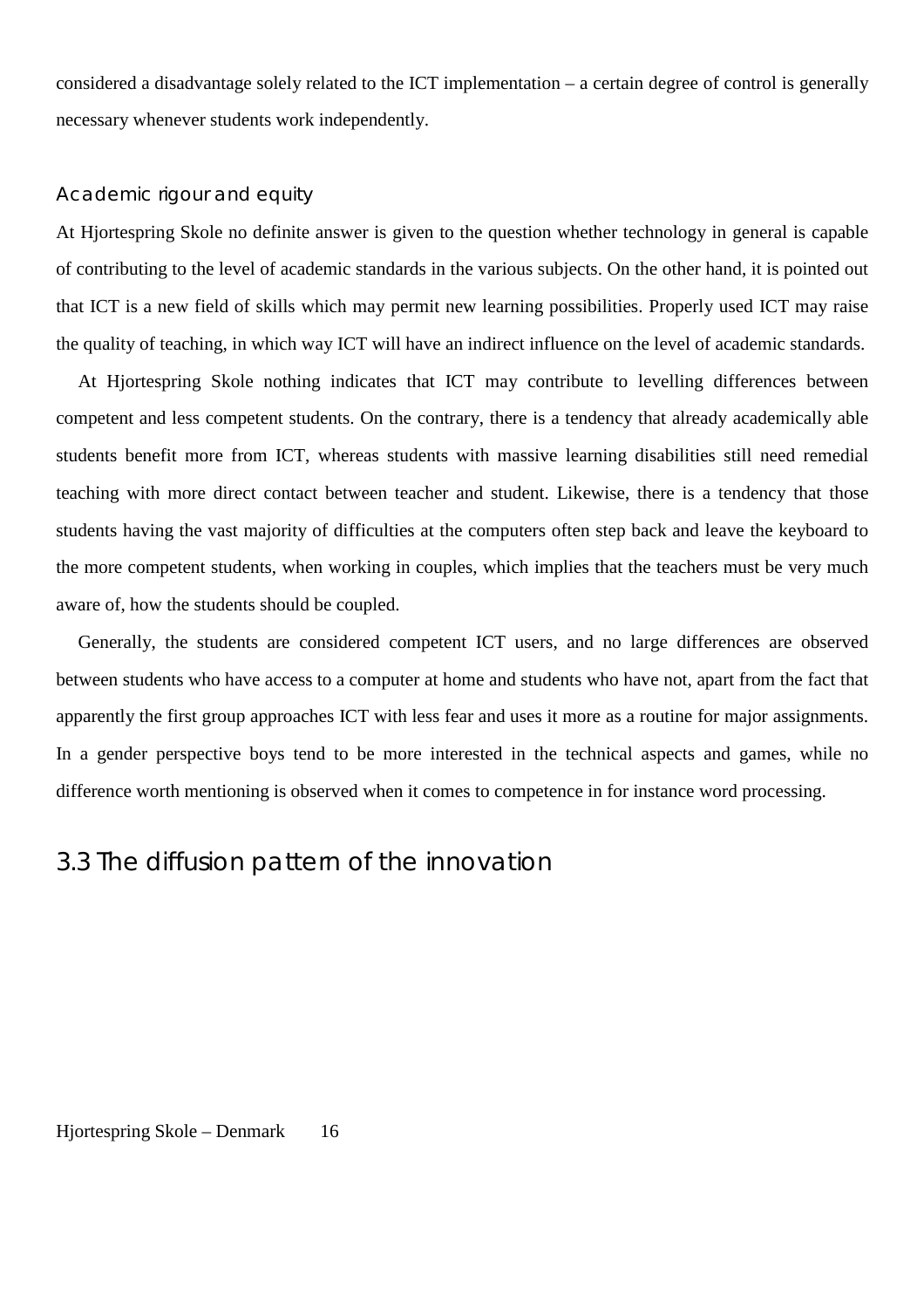considered a disadvantage solely related to the ICT implementation – a certain degree of control is generally necessary whenever students work independently.

### Academic rigour and equity

At Hiortespring Skole no definite answer is given to the question whether technology in general is capable of contributing to the level of academic standards in the various subjects. On the other hand, it is pointed out that ICT is a new field of skills which may permit new learning possibilities. Properly used ICT may raise the quality of teaching, in which way ICT will have an indirect influence on the level of academic standards.

At Hjortespring Skole nothing indicates that ICT may contribute to levelling differences between competent and less competent students. On the contrary, there is a tendency that already academically able students benefit more from ICT, whereas students with massive learning disabilities still need remedial teaching with more direct contact between teacher and student. Likewise, there is a tendency that those students having the vast majority of difficulties at the computers often step back and leave the keyboard to the more competent students, when working in couples, which implies that the teachers must be very much aware of, how the students should be coupled.

Generally, the students are considered competent ICT users, and no large differences are observed between students who have access to a computer at home and students who have not, apart from the fact that apparently the first group approaches ICT with less fear and uses it more as a routine for major assignments. In a gender perspective boys tend to be more interested in the technical aspects and games, while no difference worth mentioning is observed when it comes to competence in for instance word processing.

## 3.3 The diffusion pattern of the innovation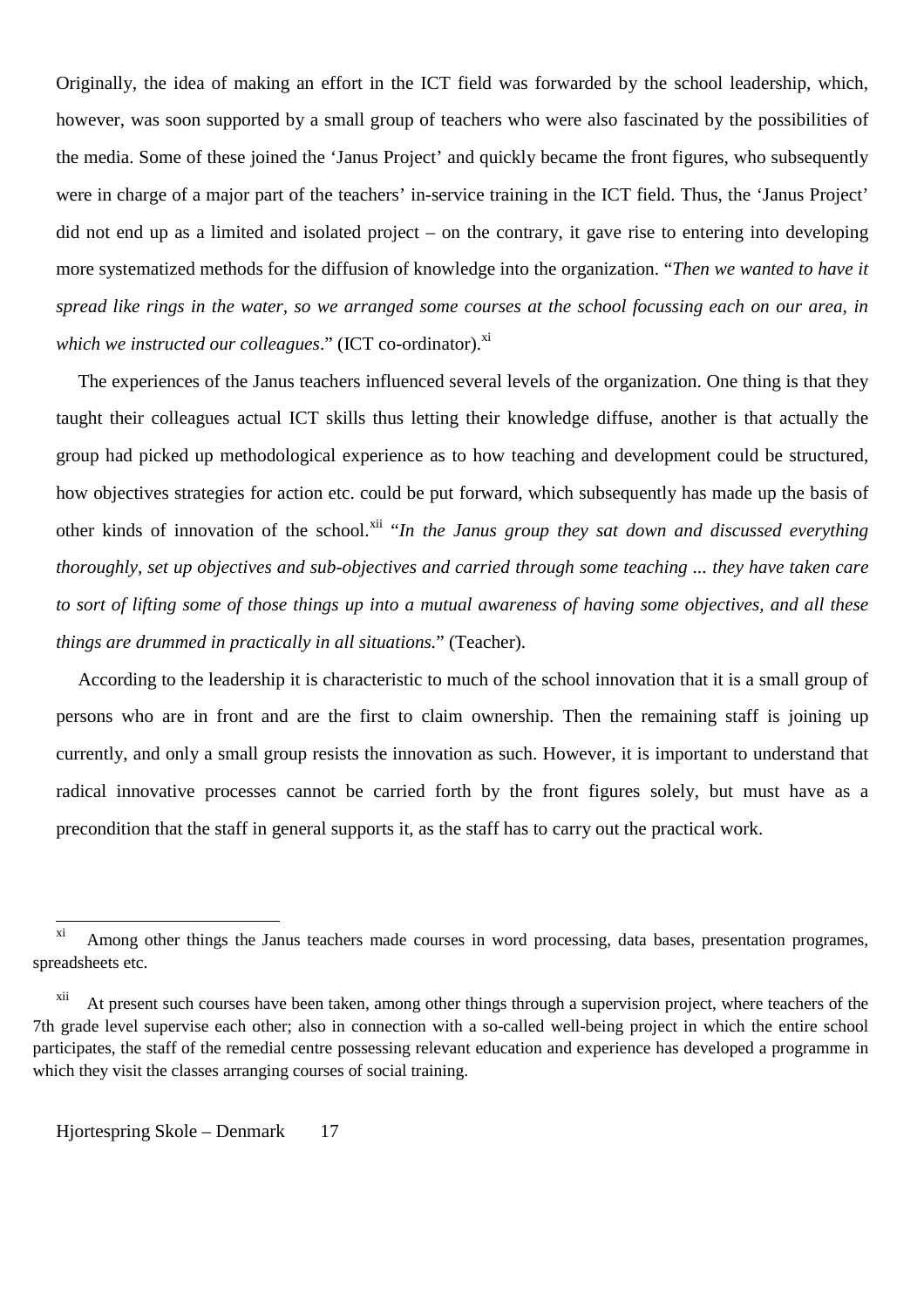Originally, the idea of making an effort in the ICT field was forwarded by the school leadership, which, however, was soon supported by a small group of teachers who were also fascinated by the possibilities of the media. Some of these joined the 'Janus Project' and quickly became the front figures, who subsequently were in charge of a major part of the teachers' in-service training in the ICT field. Thus, the 'Janus Project' did not end up as a limited and isolated project – on the contrary, it gave rise to entering into developing more systematized methods for the diffusion of knowledge into the organization. "*Then we wanted to have it spread like rings in the water, so we arranged some courses at the school focussing each on our area, in which we instructed our colleagues.*" (ICT co-ordinator).<sup>xi</sup>

The experiences of the Janus teachers influenced several levels of the organization. One thing is that they taught their colleagues actual ICT skills thus letting their knowledge diffuse, another is that actually the group had picked up methodological experience as to how teaching and development could be structured, how objectives strategies for action etc. could be put forward, which subsequently has made up the basis of other kinds of innovation of the school.<sup>xii</sup> "*In the Janus group they sat down and discussed everything thoroughly, set up objectives and sub-objectives and carried through some teaching ... they have taken care to sort of lifting some of those things up into a mutual awareness of having some objectives, and all these things are drummed in practically in all situations.*" (Teacher).

According to the leadership it is characteristic to much of the school innovation that it is a small group of persons who are in front and are the first to claim ownership. Then the remaining staff is joining up currently, and only a small group resists the innovation as such. However, it is important to understand that radical innovative processes cannot be carried forth by the front figures solely, but must have as a precondition that the staff in general supports it, as the staff has to carry out the practical work.

 $\overline{a}$ 

<sup>&</sup>lt;sup>xi</sup> Among other things the Janus teachers made courses in word processing, data bases, presentation programes, spreadsheets etc.

xii At present such courses have been taken, among other things through a supervision project, where teachers of the 7th grade level supervise each other; also in connection with a so-called well-being project in which the entire school participates, the staff of the remedial centre possessing relevant education and experience has developed a programme in which they visit the classes arranging courses of social training.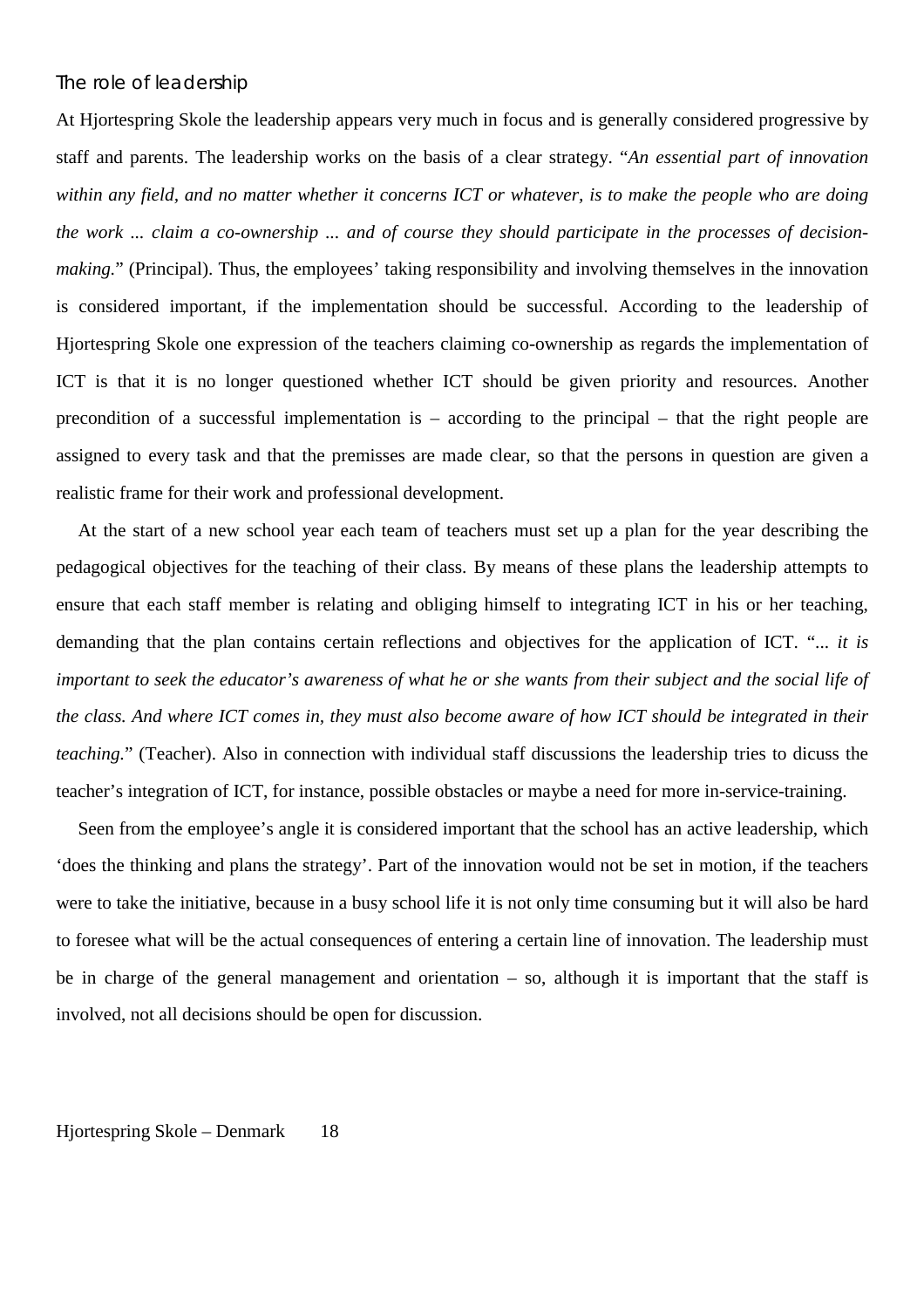### The role of leadership

At Hjortespring Skole the leadership appears very much in focus and is generally considered progressive by staff and parents. The leadership works on the basis of a clear strategy. "*An essential part of innovation within any field, and no matter whether it concerns ICT or whatever, is to make the people who are doing the work ... claim a co-ownership ... and of course they should participate in the processes of decisionmaking.*" (Principal). Thus, the employees' taking responsibility and involving themselves in the innovation is considered important, if the implementation should be successful. According to the leadership of Hjortespring Skole one expression of the teachers claiming co-ownership as regards the implementation of ICT is that it is no longer questioned whether ICT should be given priority and resources. Another precondition of a successful implementation is – according to the principal – that the right people are assigned to every task and that the premisses are made clear, so that the persons in question are given a realistic frame for their work and professional development.

At the start of a new school year each team of teachers must set up a plan for the year describing the pedagogical objectives for the teaching of their class. By means of these plans the leadership attempts to ensure that each staff member is relating and obliging himself to integrating ICT in his or her teaching, demanding that the plan contains certain reflections and objectives for the application of ICT. "... *it is important to seek the educator's awareness of what he or she wants from their subject and the social life of the class. And where ICT comes in, they must also become aware of how ICT should be integrated in their teaching.*" (Teacher). Also in connection with individual staff discussions the leadership tries to dicuss the teacher's integration of ICT, for instance, possible obstacles or maybe a need for more in-service-training.

Seen from the employee's angle it is considered important that the school has an active leadership, which 'does the thinking and plans the strategy'. Part of the innovation would not be set in motion, if the teachers were to take the initiative, because in a busy school life it is not only time consuming but it will also be hard to foresee what will be the actual consequences of entering a certain line of innovation. The leadership must be in charge of the general management and orientation – so, although it is important that the staff is involved, not all decisions should be open for discussion.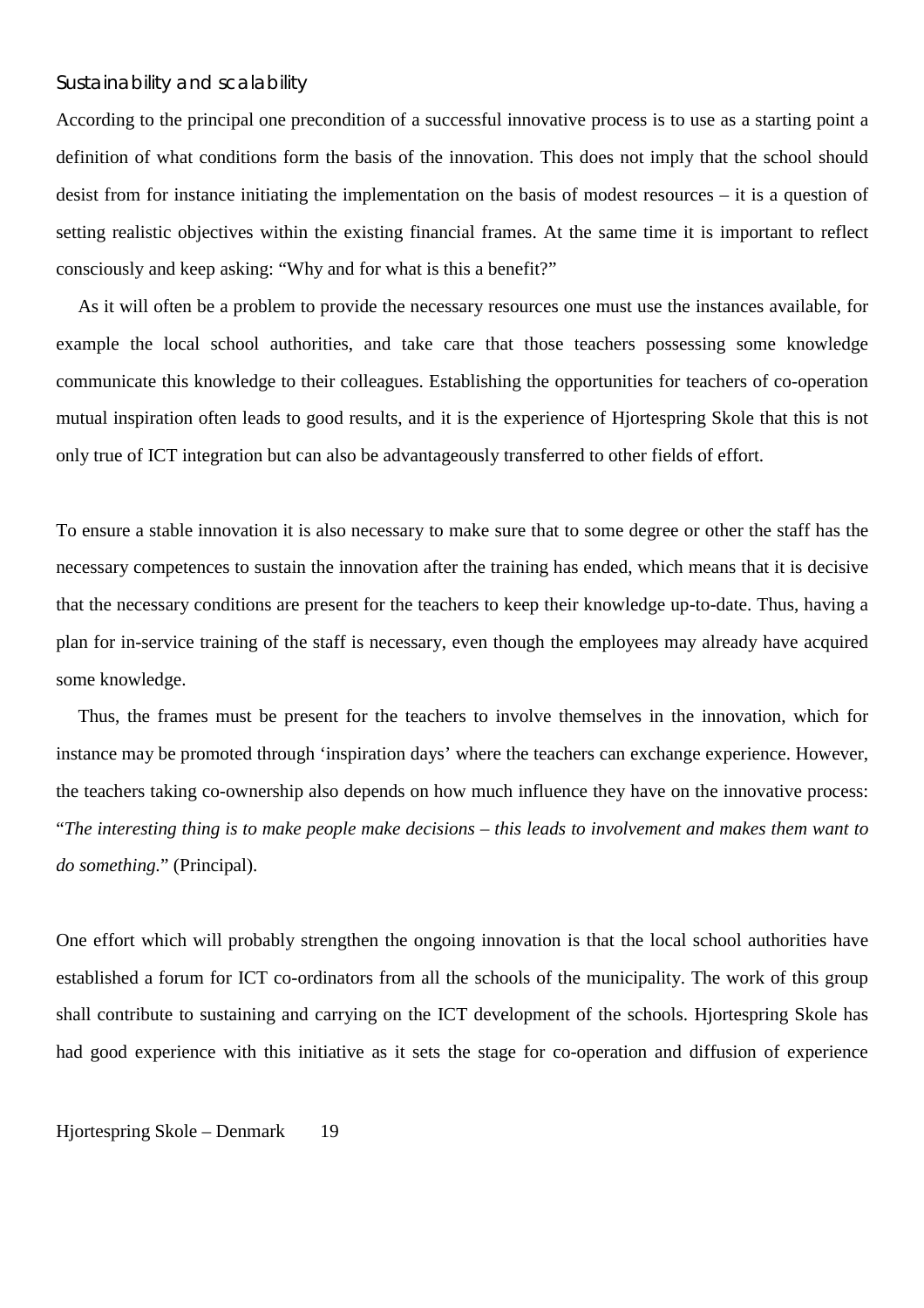### Sustainability and scalability

According to the principal one precondition of a successful innovative process is to use as a starting point a definition of what conditions form the basis of the innovation. This does not imply that the school should desist from for instance initiating the implementation on the basis of modest resources – it is a question of setting realistic objectives within the existing financial frames. At the same time it is important to reflect consciously and keep asking: "Why and for what is this a benefit?"

As it will often be a problem to provide the necessary resources one must use the instances available, for example the local school authorities, and take care that those teachers possessing some knowledge communicate this knowledge to their colleagues. Establishing the opportunities for teachers of co-operation mutual inspiration often leads to good results, and it is the experience of Hjortespring Skole that this is not only true of ICT integration but can also be advantageously transferred to other fields of effort.

To ensure a stable innovation it is also necessary to make sure that to some degree or other the staff has the necessary competences to sustain the innovation after the training has ended, which means that it is decisive that the necessary conditions are present for the teachers to keep their knowledge up-to-date. Thus, having a plan for in-service training of the staff is necessary, even though the employees may already have acquired some knowledge.

Thus, the frames must be present for the teachers to involve themselves in the innovation, which for instance may be promoted through 'inspiration days' where the teachers can exchange experience. However, the teachers taking co-ownership also depends on how much influence they have on the innovative process: "*The interesting thing is to make people make decisions – this leads to involvement and makes them want to do something.*" (Principal).

One effort which will probably strengthen the ongoing innovation is that the local school authorities have established a forum for ICT co-ordinators from all the schools of the municipality. The work of this group shall contribute to sustaining and carrying on the ICT development of the schools. Hjortespring Skole has had good experience with this initiative as it sets the stage for co-operation and diffusion of experience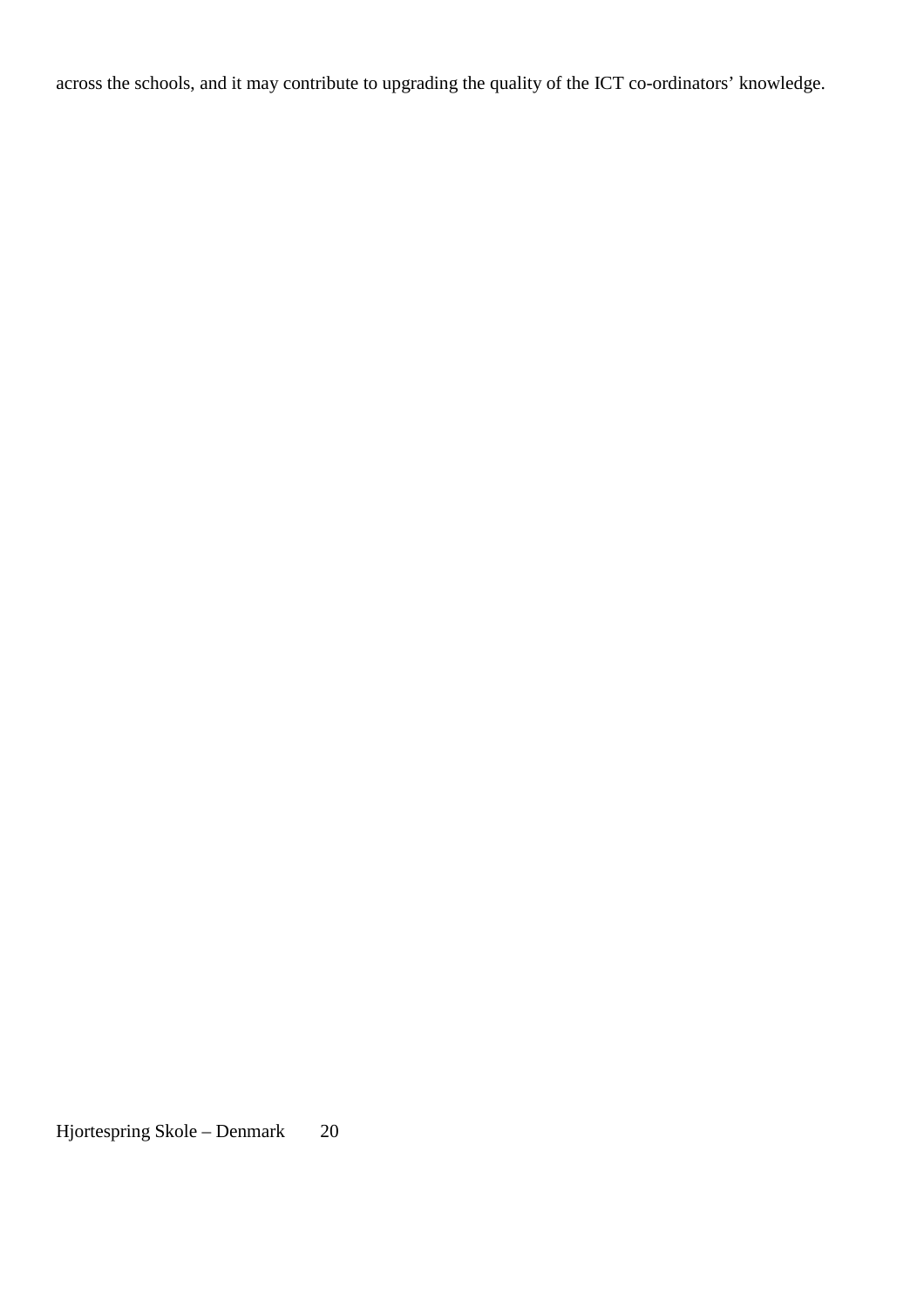across the schools, and it may contribute to upgrading the quality of the ICT co-ordinators' knowledge.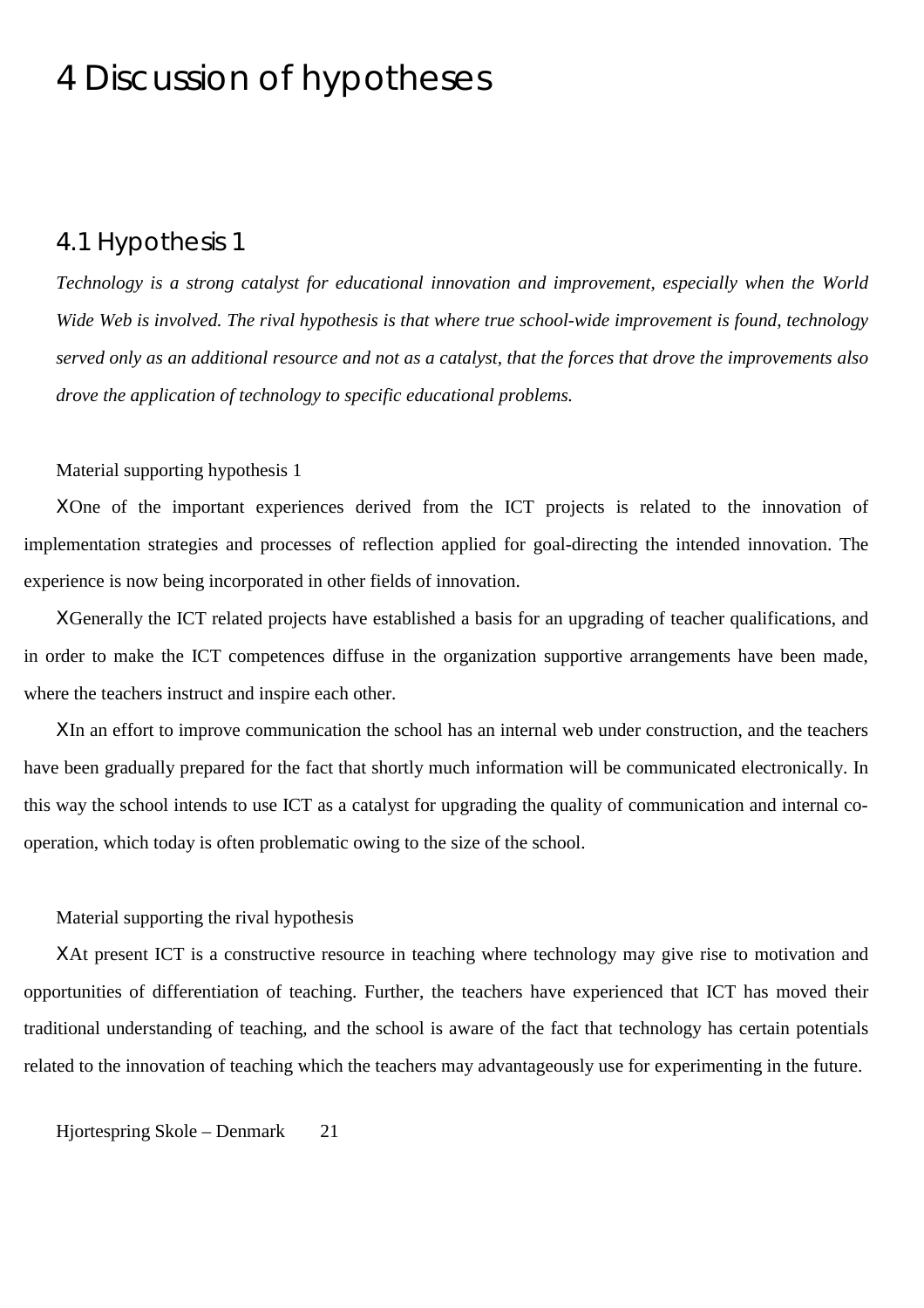## 4 Discussion of hypotheses

### 4.1 Hypothesis 1

*Technology is a strong catalyst for educational innovation and improvement, especially when the World Wide Web is involved. The rival hypothesis is that where true school-wide improvement is found, technology served only as an additional resource and not as a catalyst, that the forces that drove the improvements also drove the application of technology to specific educational problems.*

### Material supporting hypothesis 1

ΧOne of the important experiences derived from the ICT projects is related to the innovation of implementation strategies and processes of reflection applied for goal-directing the intended innovation. The experience is now being incorporated in other fields of innovation.

ΧGenerally the ICT related projects have established a basis for an upgrading of teacher qualifications, and in order to make the ICT competences diffuse in the organization supportive arrangements have been made, where the teachers instruct and inspire each other.

ΧIn an effort to improve communication the school has an internal web under construction, and the teachers have been gradually prepared for the fact that shortly much information will be communicated electronically. In this way the school intends to use ICT as a catalyst for upgrading the quality of communication and internal cooperation, which today is often problematic owing to the size of the school.

#### Material supporting the rival hypothesis

ΧAt present ICT is a constructive resource in teaching where technology may give rise to motivation and opportunities of differentiation of teaching. Further, the teachers have experienced that ICT has moved their traditional understanding of teaching, and the school is aware of the fact that technology has certain potentials related to the innovation of teaching which the teachers may advantageously use for experimenting in the future.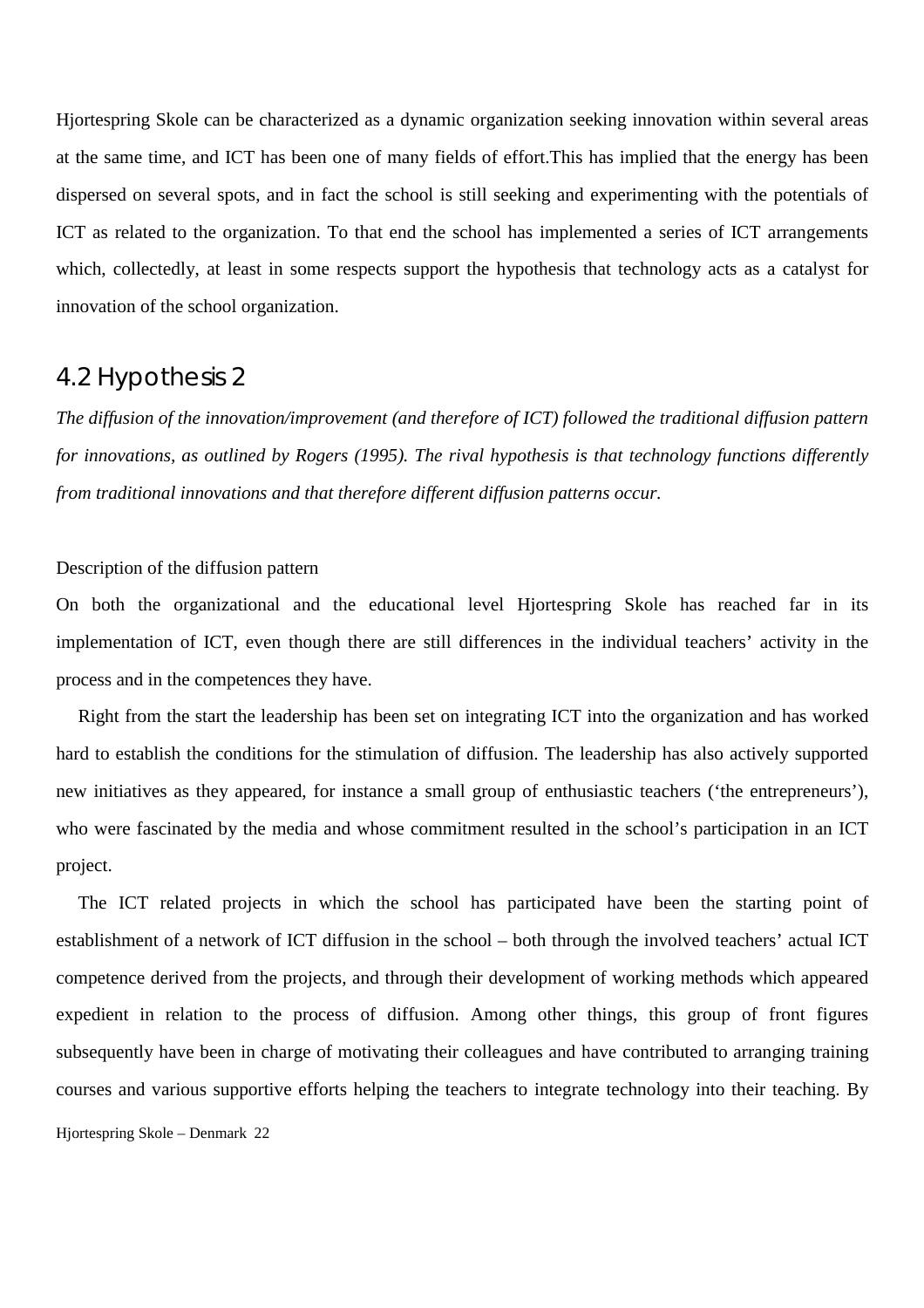Hjortespring Skole can be characterized as a dynamic organization seeking innovation within several areas at the same time, and ICT has been one of many fields of effort.This has implied that the energy has been dispersed on several spots, and in fact the school is still seeking and experimenting with the potentials of ICT as related to the organization. To that end the school has implemented a series of ICT arrangements which, collectedly, at least in some respects support the hypothesis that technology acts as a catalyst for innovation of the school organization.

## 4.2 Hypothesis 2

*The diffusion of the innovation/improvement (and therefore of ICT) followed the traditional diffusion pattern for innovations, as outlined by Rogers (1995). The rival hypothesis is that technology functions differently from traditional innovations and that therefore different diffusion patterns occur.*

#### Description of the diffusion pattern

On both the organizational and the educational level Hjortespring Skole has reached far in its implementation of ICT, even though there are still differences in the individual teachers' activity in the process and in the competences they have.

Right from the start the leadership has been set on integrating ICT into the organization and has worked hard to establish the conditions for the stimulation of diffusion. The leadership has also actively supported new initiatives as they appeared, for instance a small group of enthusiastic teachers ('the entrepreneurs'), who were fascinated by the media and whose commitment resulted in the school's participation in an ICT project.

Hjortespring Skole – Denmark 22 The ICT related projects in which the school has participated have been the starting point of establishment of a network of ICT diffusion in the school – both through the involved teachers' actual ICT competence derived from the projects, and through their development of working methods which appeared expedient in relation to the process of diffusion. Among other things, this group of front figures subsequently have been in charge of motivating their colleagues and have contributed to arranging training courses and various supportive efforts helping the teachers to integrate technology into their teaching. By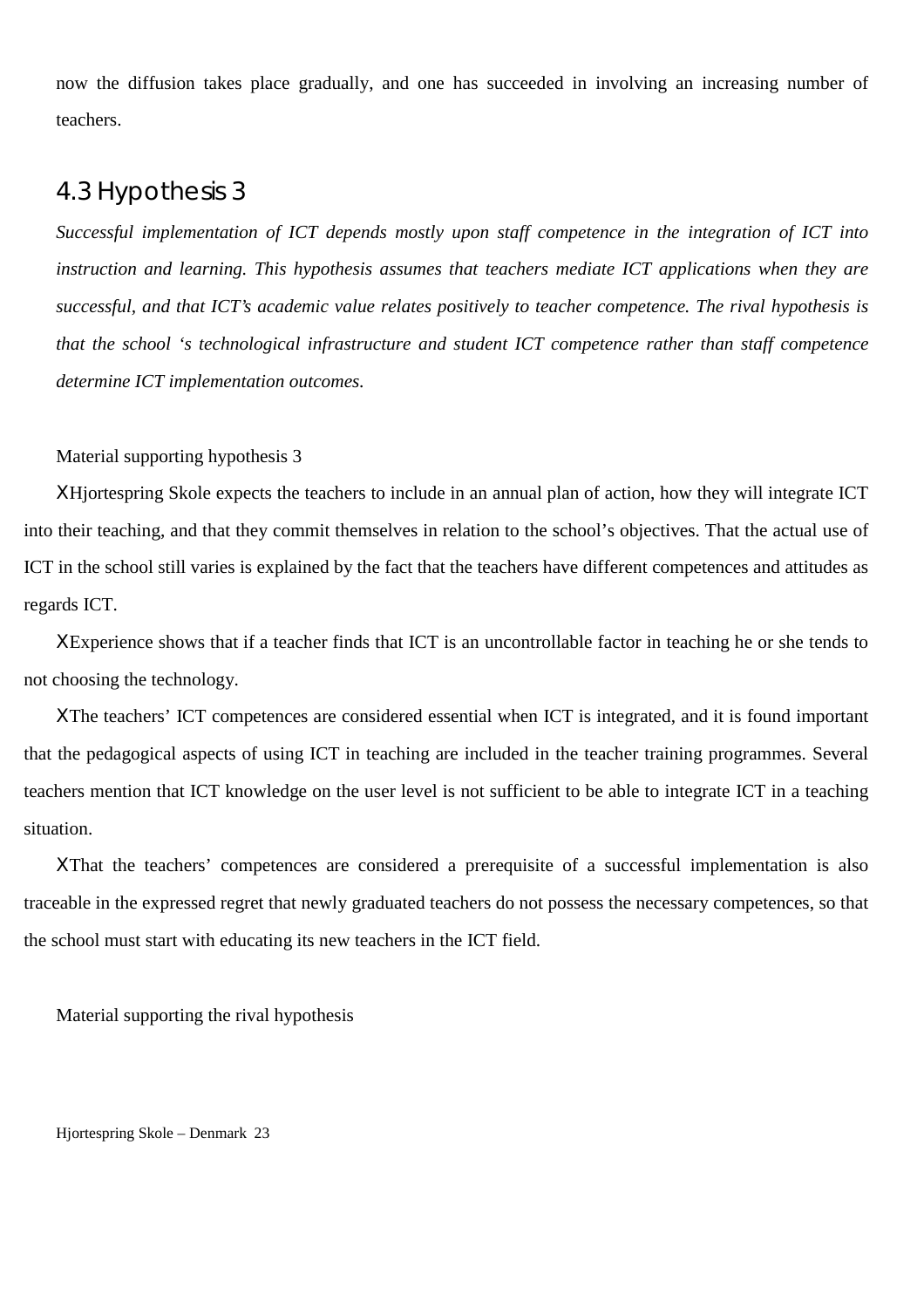now the diffusion takes place gradually, and one has succeeded in involving an increasing number of teachers.

## 4.3 Hypothesis 3

*Successful implementation of ICT depends mostly upon staff competence in the integration of ICT into instruction and learning. This hypothesis assumes that teachers mediate ICT applications when they are successful, and that ICT's academic value relates positively to teacher competence. The rival hypothesis is that the school 's technological infrastructure and student ICT competence rather than staff competence determine ICT implementation outcomes.*

#### Material supporting hypothesis 3

ΧHjortespring Skole expects the teachers to include in an annual plan of action, how they will integrate ICT into their teaching, and that they commit themselves in relation to the school's objectives. That the actual use of ICT in the school still varies is explained by the fact that the teachers have different competences and attitudes as regards ICT.

ΧExperience shows that if a teacher finds that ICT is an uncontrollable factor in teaching he or she tends to not choosing the technology.

ΧThe teachers' ICT competences are considered essential when ICT is integrated, and it is found important that the pedagogical aspects of using ICT in teaching are included in the teacher training programmes. Several teachers mention that ICT knowledge on the user level is not sufficient to be able to integrate ICT in a teaching situation.

ΧThat the teachers' competences are considered a prerequisite of a successful implementation is also traceable in the expressed regret that newly graduated teachers do not possess the necessary competences, so that the school must start with educating its new teachers in the ICT field.

Material supporting the rival hypothesis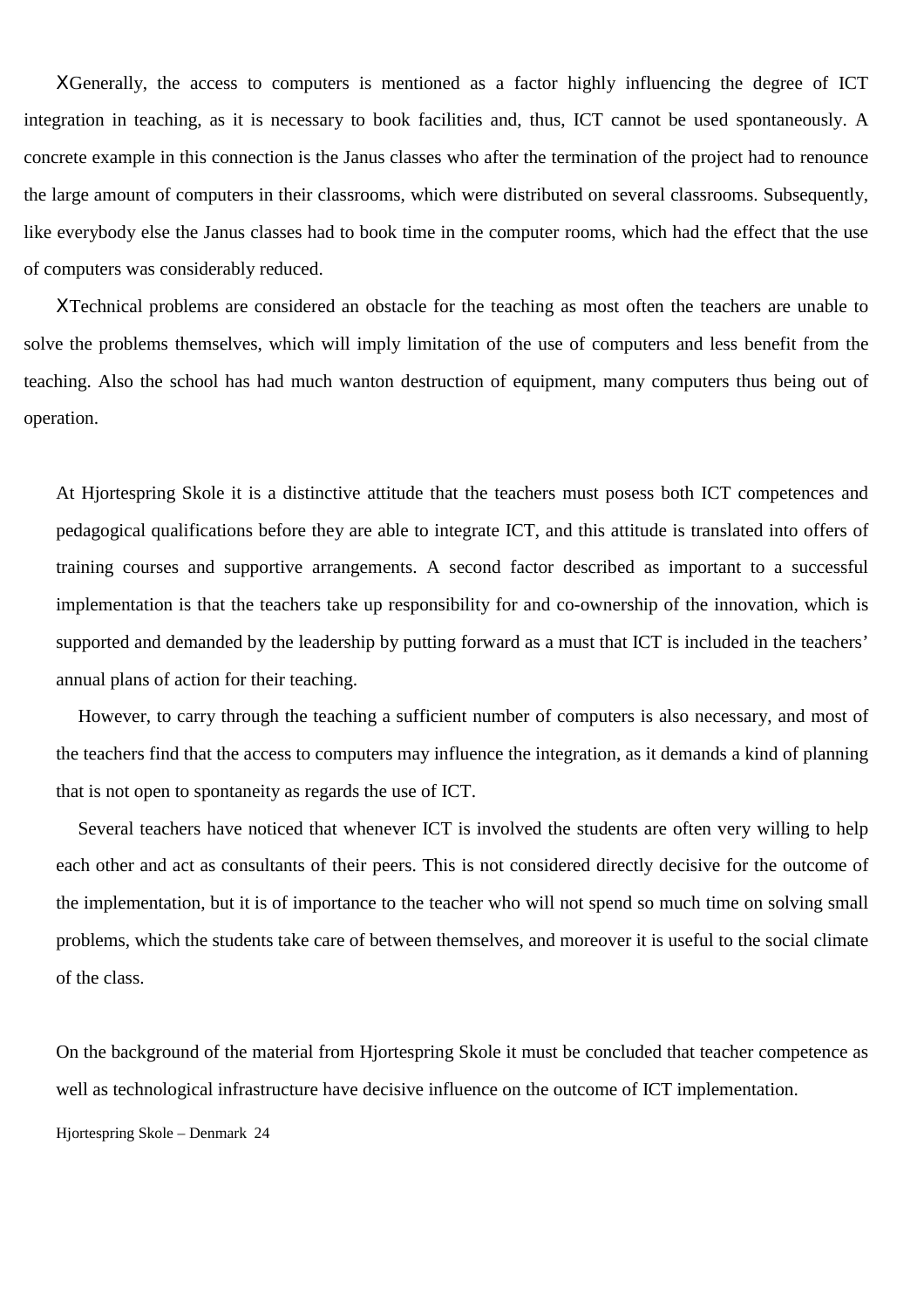ΧGenerally, the access to computers is mentioned as a factor highly influencing the degree of ICT integration in teaching, as it is necessary to book facilities and, thus, ICT cannot be used spontaneously. A concrete example in this connection is the Janus classes who after the termination of the project had to renounce the large amount of computers in their classrooms, which were distributed on several classrooms. Subsequently, like everybody else the Janus classes had to book time in the computer rooms, which had the effect that the use of computers was considerably reduced.

ΧTechnical problems are considered an obstacle for the teaching as most often the teachers are unable to solve the problems themselves, which will imply limitation of the use of computers and less benefit from the teaching. Also the school has had much wanton destruction of equipment, many computers thus being out of operation.

At Hjortespring Skole it is a distinctive attitude that the teachers must posess both ICT competences and pedagogical qualifications before they are able to integrate ICT, and this attitude is translated into offers of training courses and supportive arrangements. A second factor described as important to a successful implementation is that the teachers take up responsibility for and co-ownership of the innovation, which is supported and demanded by the leadership by putting forward as a must that ICT is included in the teachers' annual plans of action for their teaching.

However, to carry through the teaching a sufficient number of computers is also necessary, and most of the teachers find that the access to computers may influence the integration, as it demands a kind of planning that is not open to spontaneity as regards the use of ICT.

Several teachers have noticed that whenever ICT is involved the students are often very willing to help each other and act as consultants of their peers. This is not considered directly decisive for the outcome of the implementation, but it is of importance to the teacher who will not spend so much time on solving small problems, which the students take care of between themselves, and moreover it is useful to the social climate of the class.

On the background of the material from Hjortespring Skole it must be concluded that teacher competence as well as technological infrastructure have decisive influence on the outcome of ICT implementation.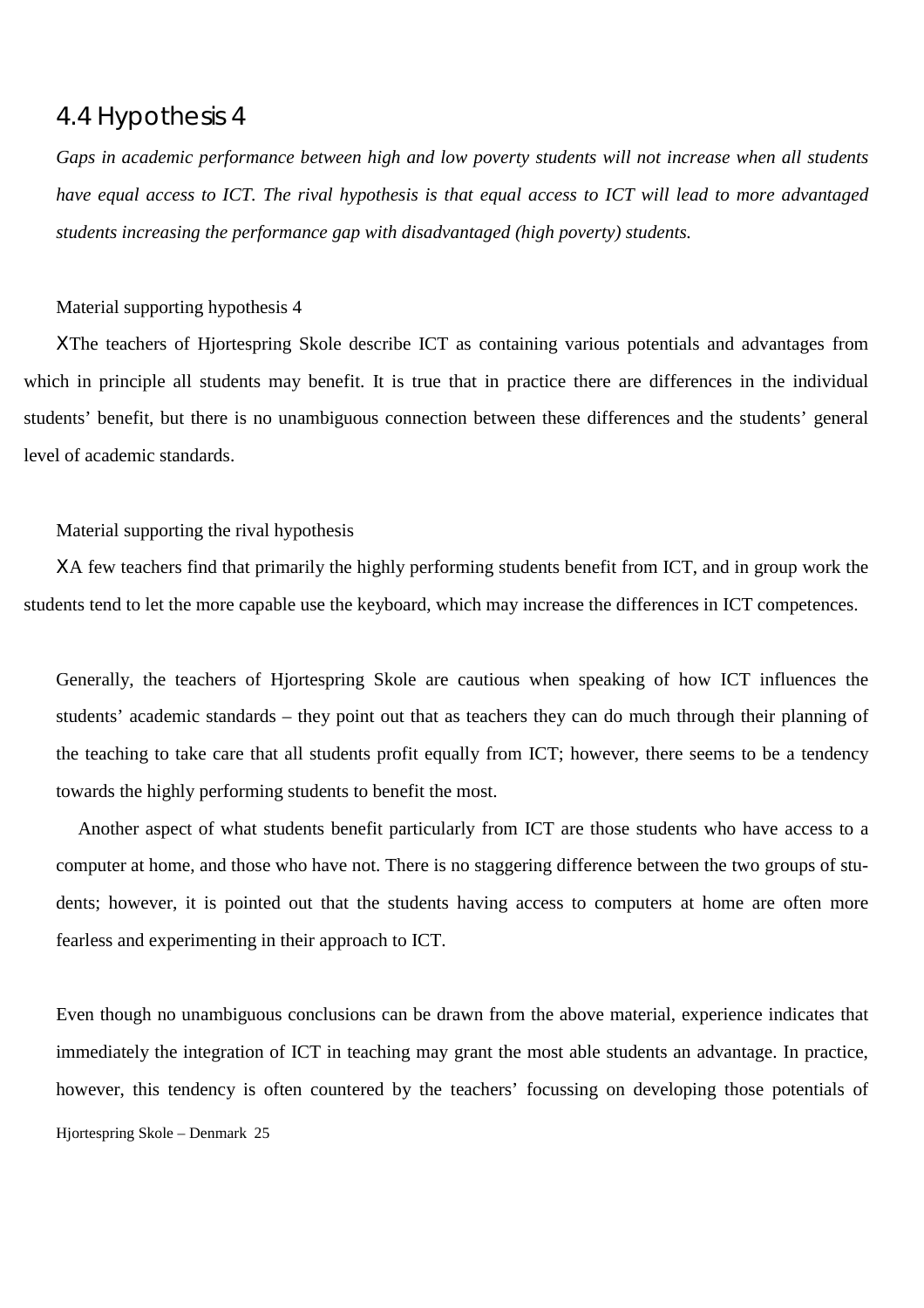## 4.4 Hypothesis 4

*Gaps in academic performance between high and low poverty students will not increase when all students have equal access to ICT. The rival hypothesis is that equal access to ICT will lead to more advantaged students increasing the performance gap with disadvantaged (high poverty) students.*

#### Material supporting hypothesis 4

ΧThe teachers of Hjortespring Skole describe ICT as containing various potentials and advantages from which in principle all students may benefit. It is true that in practice there are differences in the individual students' benefit, but there is no unambiguous connection between these differences and the students' general level of academic standards.

Material supporting the rival hypothesis

ΧA few teachers find that primarily the highly performing students benefit from ICT, and in group work the students tend to let the more capable use the keyboard, which may increase the differences in ICT competences.

Generally, the teachers of Hjortespring Skole are cautious when speaking of how ICT influences the students' academic standards – they point out that as teachers they can do much through their planning of the teaching to take care that all students profit equally from ICT; however, there seems to be a tendency towards the highly performing students to benefit the most.

Another aspect of what students benefit particularly from ICT are those students who have access to a computer at home, and those who have not. There is no staggering difference between the two groups of students; however, it is pointed out that the students having access to computers at home are often more fearless and experimenting in their approach to ICT.

Hjortespring Skole – Denmark 25 Even though no unambiguous conclusions can be drawn from the above material, experience indicates that immediately the integration of ICT in teaching may grant the most able students an advantage. In practice, however, this tendency is often countered by the teachers' focussing on developing those potentials of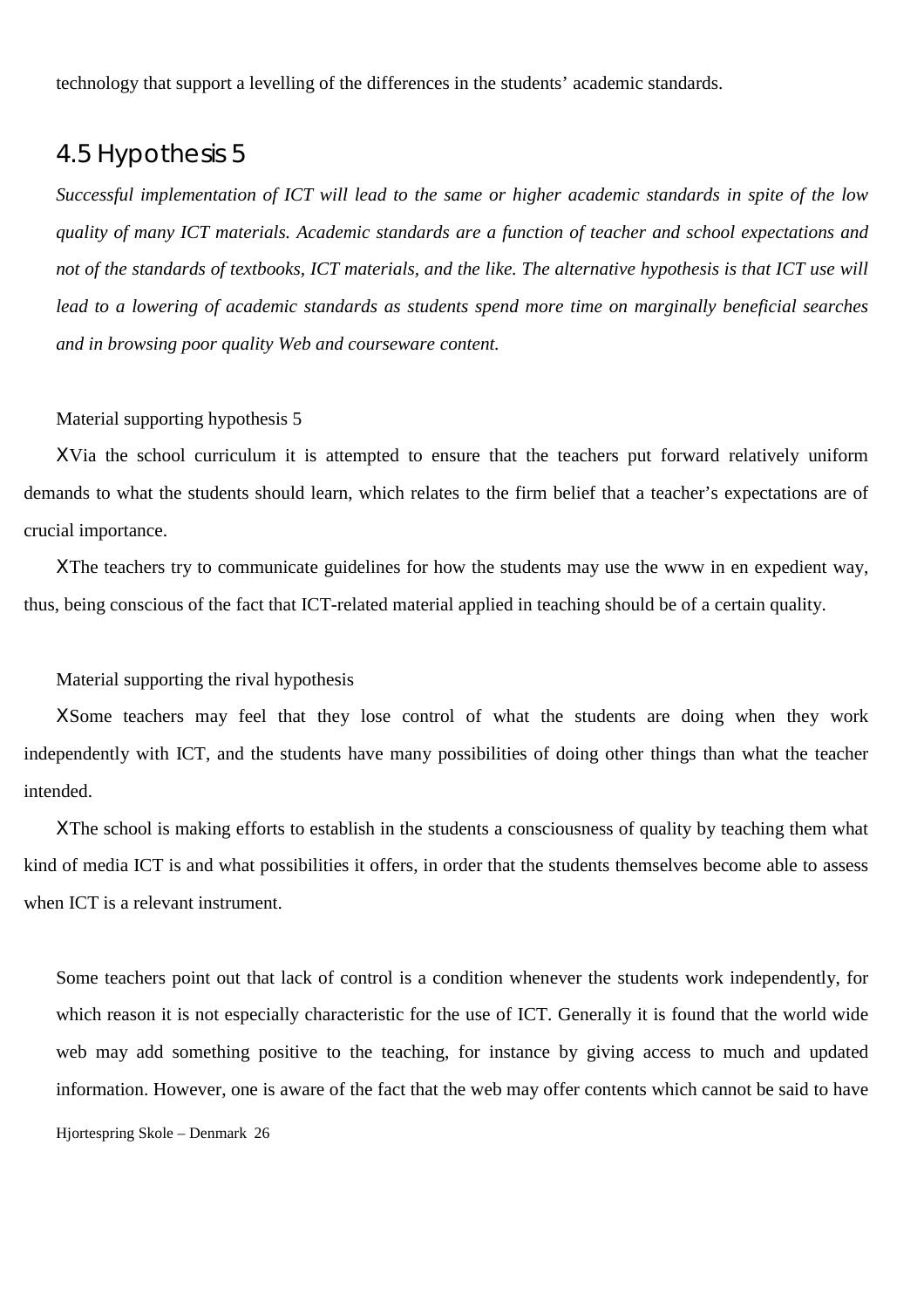technology that support a levelling of the differences in the students' academic standards.

## 4.5 Hypothesis 5

*Successful implementation of ICT will lead to the same or higher academic standards in spite of the low quality of many ICT materials. Academic standards are a function of teacher and school expectations and not of the standards of textbooks, ICT materials, and the like. The alternative hypothesis is that ICT use will lead to a lowering of academic standards as students spend more time on marginally beneficial searches and in browsing poor quality Web and courseware content.*

#### Material supporting hypothesis 5

ΧVia the school curriculum it is attempted to ensure that the teachers put forward relatively uniform demands to what the students should learn, which relates to the firm belief that a teacher's expectations are of crucial importance.

ΧThe teachers try to communicate guidelines for how the students may use the www in en expedient way, thus, being conscious of the fact that ICT-related material applied in teaching should be of a certain quality.

#### Material supporting the rival hypothesis

ΧSome teachers may feel that they lose control of what the students are doing when they work independently with ICT, and the students have many possibilities of doing other things than what the teacher intended.

ΧThe school is making efforts to establish in the students a consciousness of quality by teaching them what kind of media ICT is and what possibilities it offers, in order that the students themselves become able to assess when ICT is a relevant instrument.

Hjortespring Skole – Denmark 26 Some teachers point out that lack of control is a condition whenever the students work independently, for which reason it is not especially characteristic for the use of ICT. Generally it is found that the world wide web may add something positive to the teaching, for instance by giving access to much and updated information. However, one is aware of the fact that the web may offer contents which cannot be said to have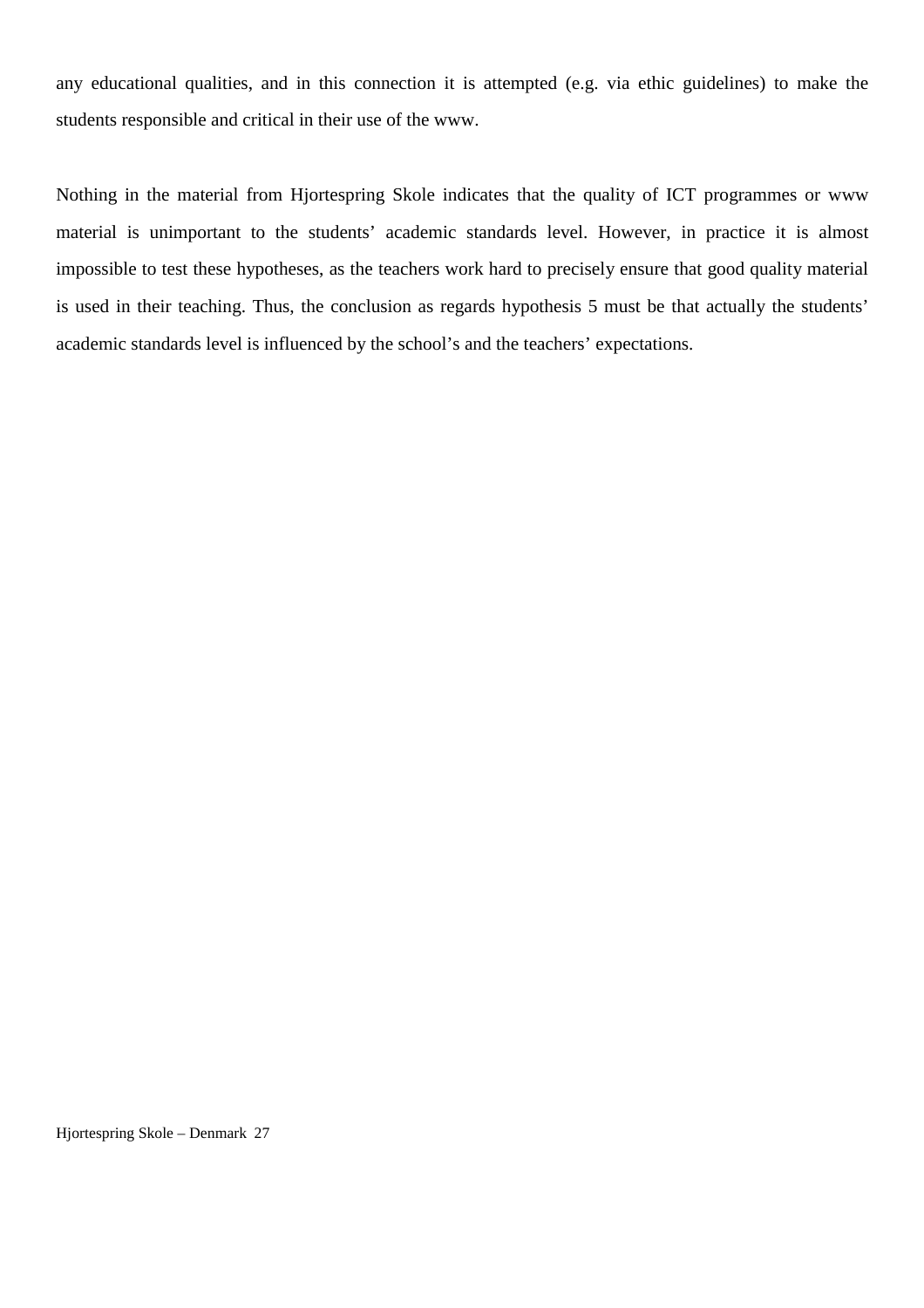any educational qualities, and in this connection it is attempted (e.g. via ethic guidelines) to make the students responsible and critical in their use of the www.

Nothing in the material from Hjortespring Skole indicates that the quality of ICT programmes or www material is unimportant to the students' academic standards level. However, in practice it is almost impossible to test these hypotheses, as the teachers work hard to precisely ensure that good quality material is used in their teaching. Thus, the conclusion as regards hypothesis 5 must be that actually the students' academic standards level is influenced by the school's and the teachers' expectations.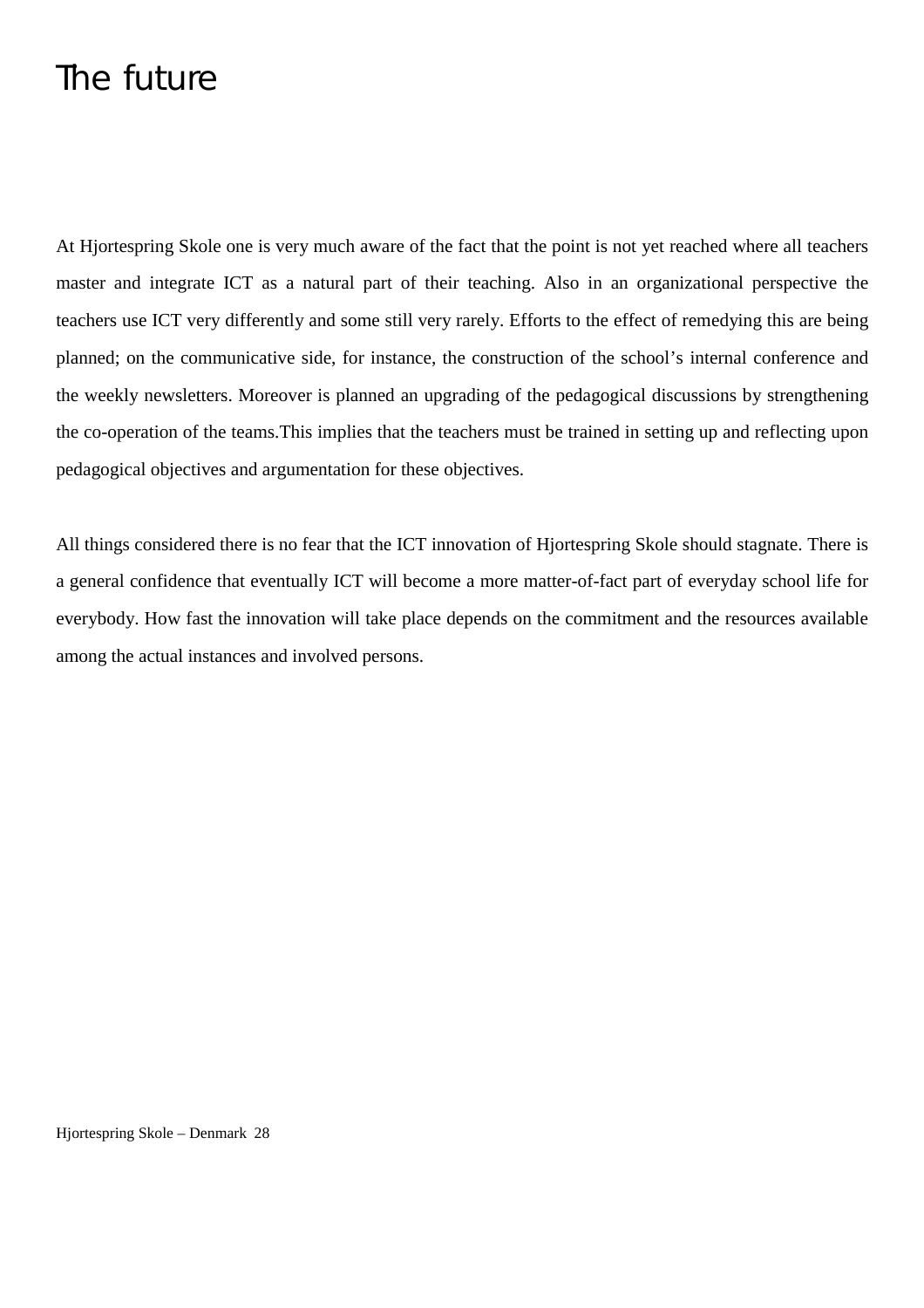## The future

At Hjortespring Skole one is very much aware of the fact that the point is not yet reached where all teachers master and integrate ICT as a natural part of their teaching. Also in an organizational perspective the teachers use ICT very differently and some still very rarely. Efforts to the effect of remedying this are being planned; on the communicative side, for instance, the construction of the school's internal conference and the weekly newsletters. Moreover is planned an upgrading of the pedagogical discussions by strengthening the co-operation of the teams.This implies that the teachers must be trained in setting up and reflecting upon pedagogical objectives and argumentation for these objectives.

All things considered there is no fear that the ICT innovation of Hjortespring Skole should stagnate. There is a general confidence that eventually ICT will become a more matter-of-fact part of everyday school life for everybody. How fast the innovation will take place depends on the commitment and the resources available among the actual instances and involved persons.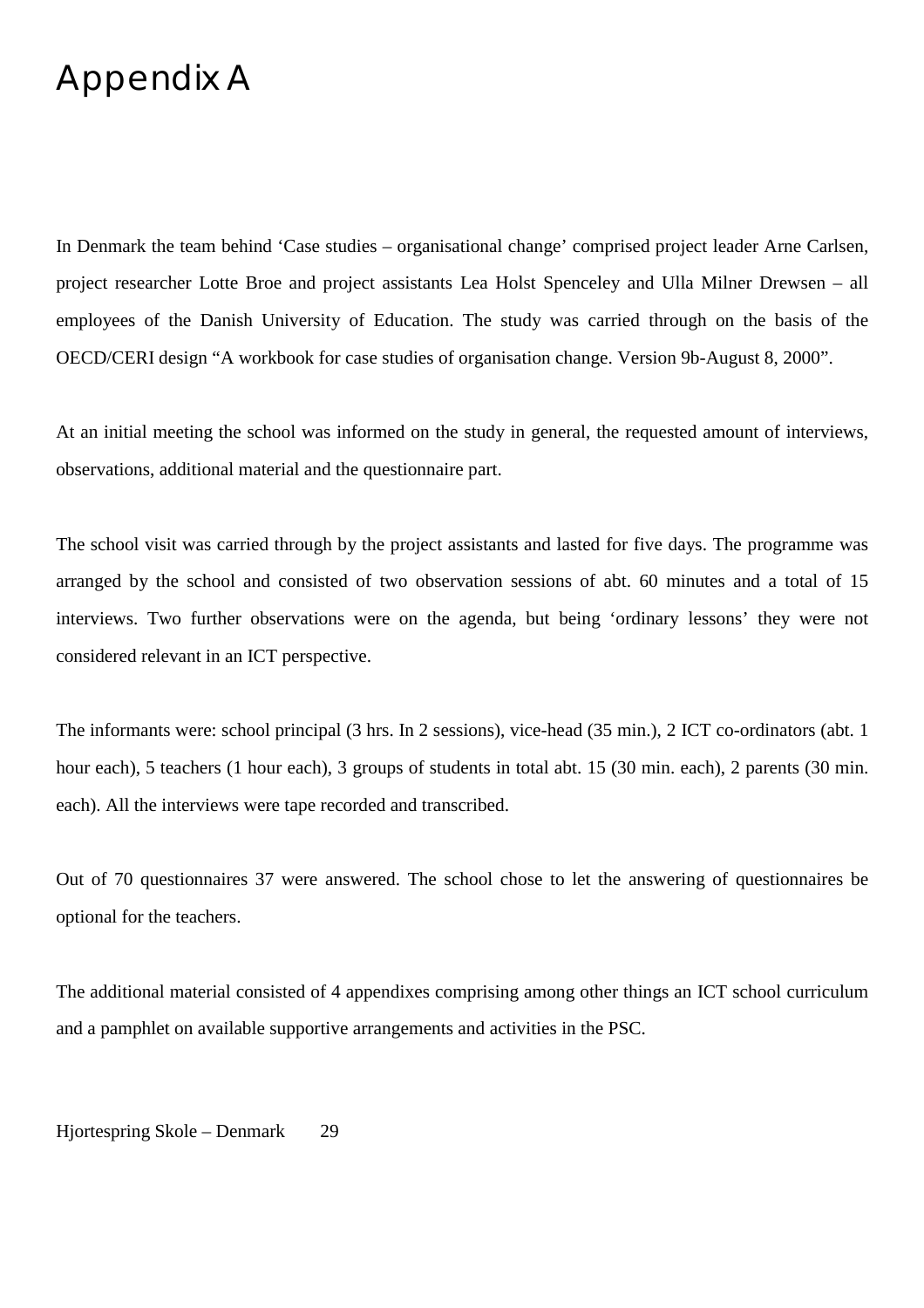## Appendix A

In Denmark the team behind 'Case studies – organisational change' comprised project leader Arne Carlsen, project researcher Lotte Broe and project assistants Lea Holst Spenceley and Ulla Milner Drewsen – all employees of the Danish University of Education. The study was carried through on the basis of the OECD/CERI design "A workbook for case studies of organisation change. Version 9b-August 8, 2000".

At an initial meeting the school was informed on the study in general, the requested amount of interviews, observations, additional material and the questionnaire part.

The school visit was carried through by the project assistants and lasted for five days. The programme was arranged by the school and consisted of two observation sessions of abt. 60 minutes and a total of 15 interviews. Two further observations were on the agenda, but being 'ordinary lessons' they were not considered relevant in an ICT perspective.

The informants were: school principal (3 hrs. In 2 sessions), vice-head (35 min.), 2 ICT co-ordinators (abt. 1 hour each), 5 teachers (1 hour each), 3 groups of students in total abt. 15 (30 min. each), 2 parents (30 min. each). All the interviews were tape recorded and transcribed.

Out of 70 questionnaires 37 were answered. The school chose to let the answering of questionnaires be optional for the teachers.

The additional material consisted of 4 appendixes comprising among other things an ICT school curriculum and a pamphlet on available supportive arrangements and activities in the PSC.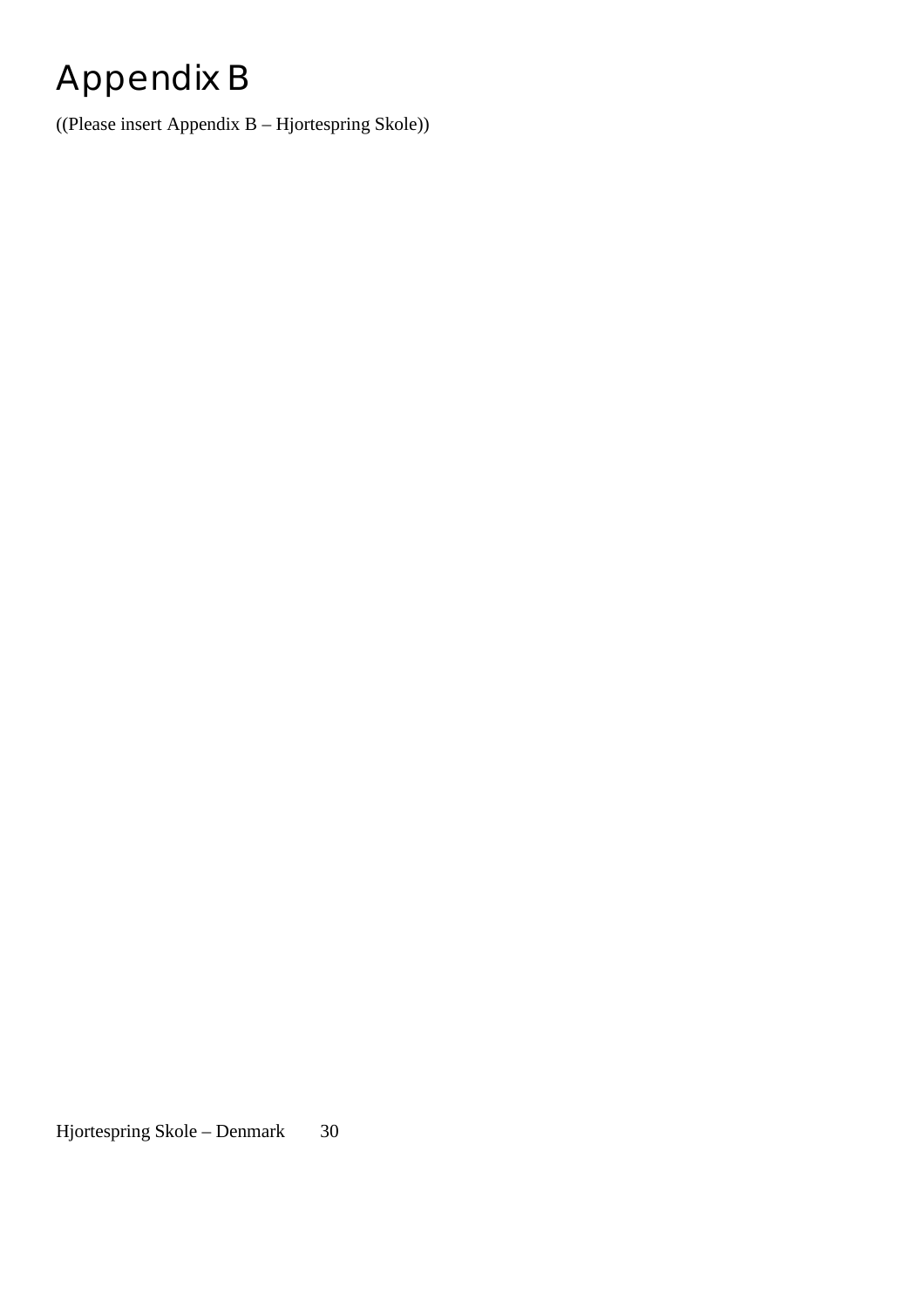# Appendix B

((Please insert Appendix B – Hjortespring Skole))